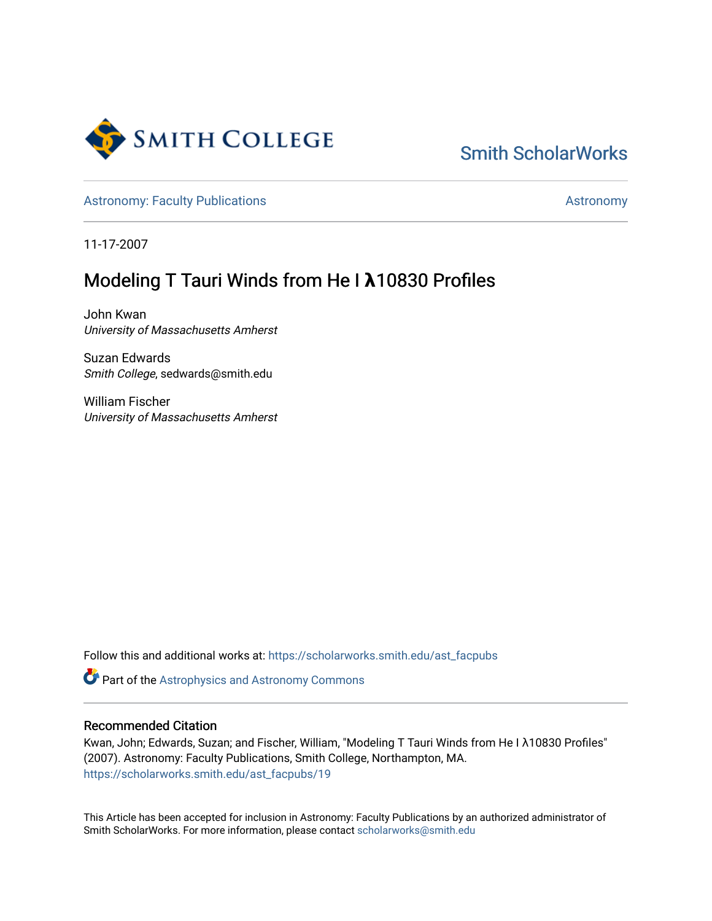

# [Smith ScholarWorks](https://scholarworks.smith.edu/)

[Astronomy: Faculty Publications](https://scholarworks.smith.edu/ast_facpubs) [Astronomy](https://scholarworks.smith.edu/ast) Astronomy

11-17-2007

# Modeling T Tauri Winds from He I **λ**10830 Profiles

John Kwan University of Massachusetts Amherst

Suzan Edwards Smith College, sedwards@smith.edu

William Fischer University of Massachusetts Amherst

Follow this and additional works at: [https://scholarworks.smith.edu/ast\\_facpubs](https://scholarworks.smith.edu/ast_facpubs?utm_source=scholarworks.smith.edu%2Fast_facpubs%2F19&utm_medium=PDF&utm_campaign=PDFCoverPages)

Part of the [Astrophysics and Astronomy Commons](http://network.bepress.com/hgg/discipline/123?utm_source=scholarworks.smith.edu%2Fast_facpubs%2F19&utm_medium=PDF&utm_campaign=PDFCoverPages) 

# Recommended Citation

Kwan, John; Edwards, Suzan; and Fischer, William, "Modeling T Tauri Winds from He I λ10830 Profiles" (2007). Astronomy: Faculty Publications, Smith College, Northampton, MA. [https://scholarworks.smith.edu/ast\\_facpubs/19](https://scholarworks.smith.edu/ast_facpubs/19?utm_source=scholarworks.smith.edu%2Fast_facpubs%2F19&utm_medium=PDF&utm_campaign=PDFCoverPages) 

This Article has been accepted for inclusion in Astronomy: Faculty Publications by an authorized administrator of Smith ScholarWorks. For more information, please contact [scholarworks@smith.edu](mailto:scholarworks@smith.edu)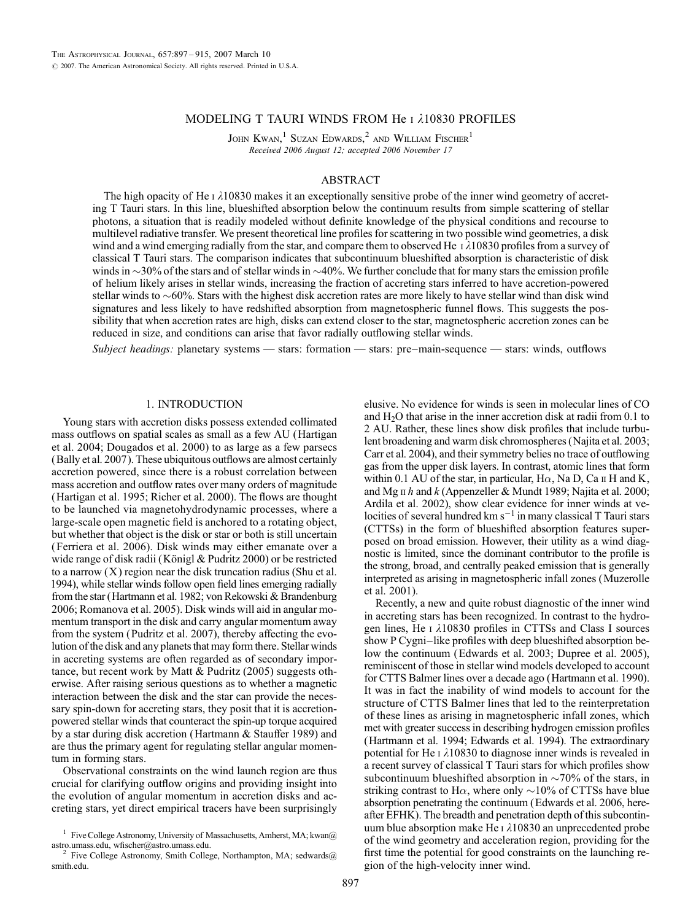## MODELING T TAURI WINDS FROM He I 210830 PROFILES

JOHN KWAN,<sup>1</sup> SUZAN EDWARDS,<sup>2</sup> AND WILLIAM FISCHER<sup>1</sup> Received 2006 August 12; accepted 2006 November 17

## ABSTRACT

The high opacity of He  $\iota$   $\lambda$ 10830 makes it an exceptionally sensitive probe of the inner wind geometry of accreting T Tauri stars. In this line, blueshifted absorption below the continuum results from simple scattering of stellar photons, a situation that is readily modeled without definite knowledge of the physical conditions and recourse to multilevel radiative transfer. We present theoretical line profiles for scattering in two possible wind geometries, a disk wind and a wind emerging radially from the star, and compare them to observed He  $\frac{1}{10830}$  profiles from a survey of classical T Tauri stars. The comparison indicates that subcontinuum blueshifted absorption is characteristic of disk winds in  $\sim$ 30% of the stars and of stellar winds in  $\sim$ 40%. We further conclude that for many stars the emission profile of helium likely arises in stellar winds, increasing the fraction of accreting stars inferred to have accretion-powered stellar winds to  $\sim 60\%$ . Stars with the highest disk accretion rates are more likely to have stellar wind than disk wind signatures and less likely to have redshifted absorption from magnetospheric funnel flows. This suggests the possibility that when accretion rates are high, disks can extend closer to the star, magnetospheric accretion zones can be reduced in size, and conditions can arise that favor radially outflowing stellar winds.

Subject headings: planetary systems — stars: formation — stars: pre-main-sequence — stars: winds, outflows

### 1. INTRODUCTION

Young stars with accretion disks possess extended collimated mass outflows on spatial scales as small as a few AU (Hartigan et al. 2004; Dougados et al. 2000) to as large as a few parsecs (Bally et al. 2007). These ubiquitous outflows are almost certainly accretion powered, since there is a robust correlation between mass accretion and outflow rates over many orders of magnitude (Hartigan et al. 1995; Richer et al. 2000). The flows are thought to be launched via magnetohydrodynamic processes, where a large-scale open magnetic field is anchored to a rotating object, but whether that object is the disk or star or both is still uncertain (Ferriera et al. 2006). Disk winds may either emanate over a wide range of disk radii (Königl & Pudritz 2000) or be restricted to a narrow  $(X)$  region near the disk truncation radius (Shu et al. 1994), while stellar winds follow open field lines emerging radially from the star (Hartmann et al. 1982; von Rekowski & Brandenburg 2006; Romanova et al. 2005). Disk winds will aid in angular momentum transport in the disk and carry angular momentum away from the system (Pudritz et al. 2007), thereby affecting the evolution of the disk and any planets that may form there. Stellar winds in accreting systems are often regarded as of secondary importance, but recent work by Matt & Pudritz (2005) suggests otherwise. After raising serious questions as to whether a magnetic interaction between the disk and the star can provide the necessary spin-down for accreting stars, they posit that it is accretionpowered stellar winds that counteract the spin-up torque acquired by a star during disk accretion (Hartmann & Stauffer 1989) and are thus the primary agent for regulating stellar angular momentum in forming stars.

Observational constraints on the wind launch region are thus crucial for clarifying outflow origins and providing insight into the evolution of angular momentum in accretion disks and accreting stars, yet direct empirical tracers have been surprisingly elusive. No evidence for winds is seen in molecular lines of CO and  $H<sub>2</sub>O$  that arise in the inner accretion disk at radii from 0.1 to 2 AU. Rather, these lines show disk profiles that include turbulent broadening and warm disk chromospheres (Najita et al. 2003; Carr et al. 2004), and their symmetry belies no trace of outflowing gas from the upper disk layers. In contrast, atomic lines that form within 0.1 AU of the star, in particular,  $H\alpha$ , Na D, Ca  $\mu$  H and K, and Mg  $\pi h$  and  $k$  (Appenzeller & Mundt 1989; Najita et al. 2000; Ardila et al. 2002), show clear evidence for inner winds at velocities of several hundred km s $^{-1}$  in many classical T Tauri stars (CTTSs) in the form of blueshifted absorption features superposed on broad emission. However, their utility as a wind diagnostic is limited, since the dominant contributor to the profile is the strong, broad, and centrally peaked emission that is generally interpreted as arising in magnetospheric infall zones (Muzerolle et al. 2001).

Recently, a new and quite robust diagnostic of the inner wind in accreting stars has been recognized. In contrast to the hydrogen lines, He  $\iota$   $\lambda$ 10830 profiles in CTTSs and Class I sources show P Cygni-like profiles with deep blueshifted absorption below the continuum (Edwards et al. 2003; Dupree et al. 2005), reminiscent of those in stellar wind models developed to account for CTTS Balmer lines over a decade ago (Hartmann et al. 1990). It was in fact the inability of wind models to account for the structure of CTTS Balmer lines that led to the reinterpretation of these lines as arising in magnetospheric infall zones, which met with greater success in describing hydrogen emission profiles (Hartmann et al. 1994; Edwards et al. 1994). The extraordinary potential for He  $\iota$   $\lambda$ 10830 to diagnose inner winds is revealed in a recent survey of classical T Tauri stars for which profiles show subcontinuum blueshifted absorption in  $\sim$ 70% of the stars, in striking contrast to H $\alpha$ , where only  $\sim$ 10% of CTTSs have blue absorption penetrating the continuum (Edwards et al. 2006, hereafter EFHK). The breadth and penetration depth of this subcontinuum blue absorption make He  $\iota$   $\lambda$ 10830 an unprecedented probe of the wind geometry and acceleration region, providing for the first time the potential for good constraints on the launching region of the high-velocity inner wind.

<sup>&</sup>lt;sup>1</sup> Five College Astronomy, University of Massachusetts, Amherst, MA; kwan $@$ astro.umass.edu, wfischer@astro.umass.edu.<br><sup>2</sup> Five College Astronomy, Smith College, Northampton, MA; sedwards@

smith.edu.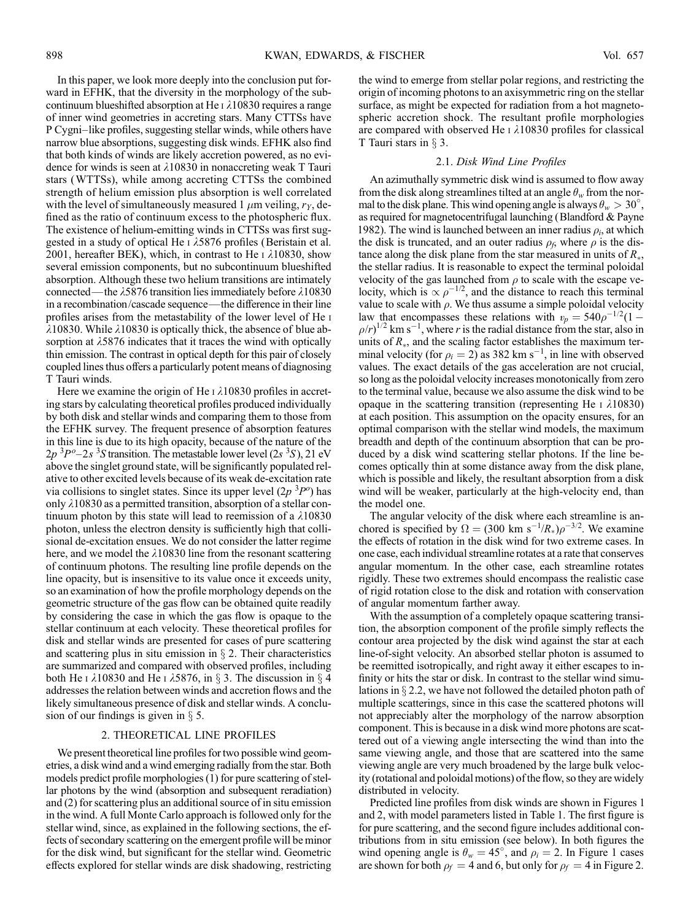In this paper, we look more deeply into the conclusion put forward in EFHK, that the diversity in the morphology of the subcontinuum blueshifted absorption at He  $\iota$   $\lambda$ 10830 requires a range of inner wind geometries in accreting stars. Many CTTSs have P Cygni-like profiles, suggesting stellar winds, while others have narrow blue absorptions, suggesting disk winds. EFHK also find that both kinds of winds are likely accretion powered, as no evidence for winds is seen at  $\lambda$ 10830 in nonaccreting weak T Tauri stars (WTTSs), while among accreting CTTSs the combined strength of helium emission plus absorption is well correlated with the level of simultaneously measured 1  $\mu$ m veiling,  $r_y$ , defined as the ratio of continuum excess to the photospheric flux. The existence of helium-emitting winds in CTTSs was first suggested in a study of optical He  $\frac{1}{5876}$  profiles (Beristain et al. 2001, hereafter BEK), which, in contrast to He  $\overline{1}$   $\lambda$ 10830, show several emission components, but no subcontinuum blueshifted absorption. Although these two helium transitions are intimately connected—the  $\lambda$ 5876 transition lies immediately before  $\lambda$ 10830 in a recombination/cascade sequence—the difference in their line profiles arises from the metastability of the lower level of He i  $\lambda$ 10830. While  $\lambda$ 10830 is optically thick, the absence of blue absorption at  $\lambda$ 5876 indicates that it traces the wind with optically thin emission. The contrast in optical depth for this pair of closely coupled lines thus offers a particularly potent means of diagnosing T Tauri winds.

Here we examine the origin of He  $\iota$   $\lambda$ 10830 profiles in accreting stars by calculating theoretical profiles produced individually by both disk and stellar winds and comparing them to those from the EFHK survey. The frequent presence of absorption features in this line is due to its high opacity, because of the nature of the  $2p^{3}P^{o}-2s^{3}S$  transition. The metastable lower level (2s  $3S$ ), 21 eV above the singlet ground state, will be significantly populated relative to other excited levels because of its weak de-excitation rate via collisions to singlet states. Since its upper level  $(2p^{3}P^{\circ})$  has only  $\lambda$ 10830 as a permitted transition, absorption of a stellar continuum photon by this state will lead to reemission of a  $\lambda$ 10830 photon, unless the electron density is sufficiently high that collisional de-excitation ensues. We do not consider the latter regime here, and we model the  $\lambda$ 10830 line from the resonant scattering of continuum photons. The resulting line profile depends on the line opacity, but is insensitive to its value once it exceeds unity, so an examination of how the profile morphology depends on the geometric structure of the gas flow can be obtained quite readily by considering the case in which the gas flow is opaque to the stellar continuum at each velocity. These theoretical profiles for disk and stellar winds are presented for cases of pure scattering and scattering plus in situ emission in  $\S$  2. Their characteristics are summarized and compared with observed profiles, including both He I  $\lambda$ 10830 and He I  $\lambda$ 5876, in § 3. The discussion in § 4 addresses the relation between winds and accretion flows and the likely simultaneous presence of disk and stellar winds. A conclusion of our findings is given in  $\S$  5.

#### 2. THEORETICAL LINE PROFILES

We present theoretical line profiles for two possible wind geometries, a disk wind and a wind emerging radially from the star. Both models predict profile morphologies (1) for pure scattering of stellar photons by the wind (absorption and subsequent reradiation) and (2) for scattering plus an additional source of in situ emission in the wind. A full Monte Carlo approach is followed only for the stellar wind, since, as explained in the following sections, the effects of secondary scattering on the emergent profile will be minor for the disk wind, but significant for the stellar wind. Geometric effects explored for stellar winds are disk shadowing, restricting

the wind to emerge from stellar polar regions, and restricting the origin of incoming photons to an axisymmetric ring on the stellar surface, as might be expected for radiation from a hot magnetospheric accretion shock. The resultant profile morphologies are compared with observed He  $\iota$   $\lambda$ 10830 profiles for classical T Tauri stars in  $\S$  3.

#### 2.1. Disk Wind Line Profiles

An azimuthally symmetric disk wind is assumed to flow away from the disk along streamlines tilted at an angle  $\theta_w$  from the normal to the disk plane. This wind opening angle is always  $\theta_w > 30^\circ$ , as required for magnetocentrifugal launching (Blandford & Payne 1982). The wind is launched between an inner radius  $\rho_i$ , at which the disk is truncated, and an outer radius  $\rho_f$ , where  $\rho$  is the distance along the disk plane from the star measured in units of  $R_{*}$ , the stellar radius. It is reasonable to expect the terminal poloidal velocity of the gas launched from  $\rho$  to scale with the escape velocity, which is  $\propto \rho^{-1/2}$ , and the distance to reach this terminal value to scale with  $\rho$ . We thus assume a simple poloidal velocity law that encompasses these relations with  $v_p = 540\rho^{-1/2}(1 \rho/r$ <sup>1/2</sup> km s<sup>-1</sup>, where r is the radial distance from the star, also in units of  $R_*$ , and the scaling factor establishes the maximum terminal velocity (for  $\rho_i = 2$ ) as 382 km s<sup>-1</sup>, in line with observed values. The exact details of the gas acceleration are not crucial, so long as the poloidal velocity increases monotonically from zero to the terminal value, because we also assume the disk wind to be opaque in the scattering transition (representing He  $\iota$   $\lambda$ 10830) at each position. This assumption on the opacity ensures, for an optimal comparison with the stellar wind models, the maximum breadth and depth of the continuum absorption that can be produced by a disk wind scattering stellar photons. If the line becomes optically thin at some distance away from the disk plane, which is possible and likely, the resultant absorption from a disk wind will be weaker, particularly at the high-velocity end, than the model one.

The angular velocity of the disk where each streamline is anchored is specified by  $\Omega = (300 \text{ km s}^{-1}/R_*)\rho^{-3/2}$ . We examine the effects of rotation in the disk wind for two extreme cases. In one case, each individual streamline rotates at a rate that conserves angular momentum. In the other case, each streamline rotates rigidly. These two extremes should encompass the realistic case of rigid rotation close to the disk and rotation with conservation of angular momentum farther away.

With the assumption of a completely opaque scattering transition, the absorption component of the profile simply reflects the contour area projected by the disk wind against the star at each line-of-sight velocity. An absorbed stellar photon is assumed to be reemitted isotropically, and right away it either escapes to infinity or hits the star or disk. In contrast to the stellar wind simulations in  $\S 2.2$ , we have not followed the detailed photon path of multiple scatterings, since in this case the scattered photons will not appreciably alter the morphology of the narrow absorption component. This is because in a disk wind more photons are scattered out of a viewing angle intersecting the wind than into the same viewing angle, and those that are scattered into the same viewing angle are very much broadened by the large bulk velocity (rotational and poloidal motions) of the flow, so they are widely distributed in velocity.

Predicted line profiles from disk winds are shown in Figures 1 and 2, with model parameters listed in Table 1. The first figure is for pure scattering, and the second figure includes additional contributions from in situ emission (see below). In both figures the wind opening angle is  $\theta_w = 45^\circ$ , and  $\rho_i = 2$ . In Figure 1 cases are shown for both  $\rho_f = 4$  and 6, but only for  $\rho_f = 4$  in Figure 2.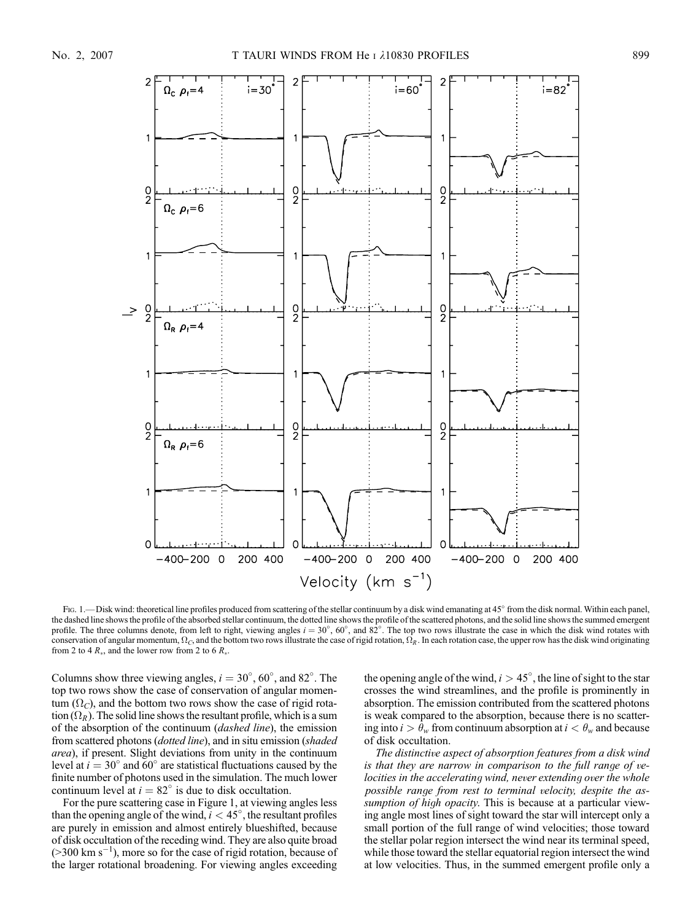

Fig. 1.—Disk wind: theoretical line profiles produced from scattering of the stellar continuum by a disk wind emanating at 45° from the disk normal. Within each panel, the dashed line shows the profile of the absorbed stellar continuum, the dotted line shows the profile of the scattered photons, and the solid line shows the summed emergent profile. The three columns denote, from left to right, viewing angles  $i = 30^{\circ}$ ,  $60^{\circ}$ , and  $82^{\circ}$ . The top two rows illustrate the case in which the disk wind rotates with conservation of angular momentum,  $\Omega_C$ , and the bottom two rows illustrate the case of rigid rotation,  $\Omega_R$ . In each rotation case, the upper row has the disk wind originating from 2 to 4  $R_*$ , and the lower row from 2 to 6  $R_*$ .

Columns show three viewing angles,  $i = 30^{\circ}$ ,  $60^{\circ}$ , and  $82^{\circ}$ . The top two rows show the case of conservation of angular momentum  $(\Omega_C)$ , and the bottom two rows show the case of rigid rotation  $(\Omega_R)$ . The solid line shows the resultant profile, which is a sum of the absorption of the continuum (dashed line), the emission from scattered photons (dotted line), and in situ emission (shaded area), if present. Slight deviations from unity in the continuum level at  $i = 30^{\circ}$  and 60° are statistical fluctuations caused by the finite number of photons used in the simulation. The much lower continuum level at  $i = 82^\circ$  is due to disk occultation.

For the pure scattering case in Figure 1, at viewing angles less than the opening angle of the wind,  $i < 45^{\circ}$ , the resultant profiles are purely in emission and almost entirely blueshifted, because of disk occultation of the receding wind. They are also quite broad  $($ >300 km s<sup>-1</sup>), more so for the case of rigid rotation, because of the larger rotational broadening. For viewing angles exceeding

the opening angle of the wind,  $i > 45^{\circ}$ , the line of sight to the star crosses the wind streamlines, and the profile is prominently in absorption. The emission contributed from the scattered photons is weak compared to the absorption, because there is no scattering into  $i > \theta_w$  from continuum absorption at  $i < \theta_w$  and because of disk occultation.

The distinctive aspect of absorption features from a disk wind is that they are narrow in comparison to the full range of velocities in the accelerating wind, never extending over the whole possible range from rest to terminal velocity, despite the assumption of high opacity. This is because at a particular viewing angle most lines of sight toward the star will intercept only a small portion of the full range of wind velocities; those toward the stellar polar region intersect the wind near its terminal speed, while those toward the stellar equatorial region intersect the wind at low velocities. Thus, in the summed emergent profile only a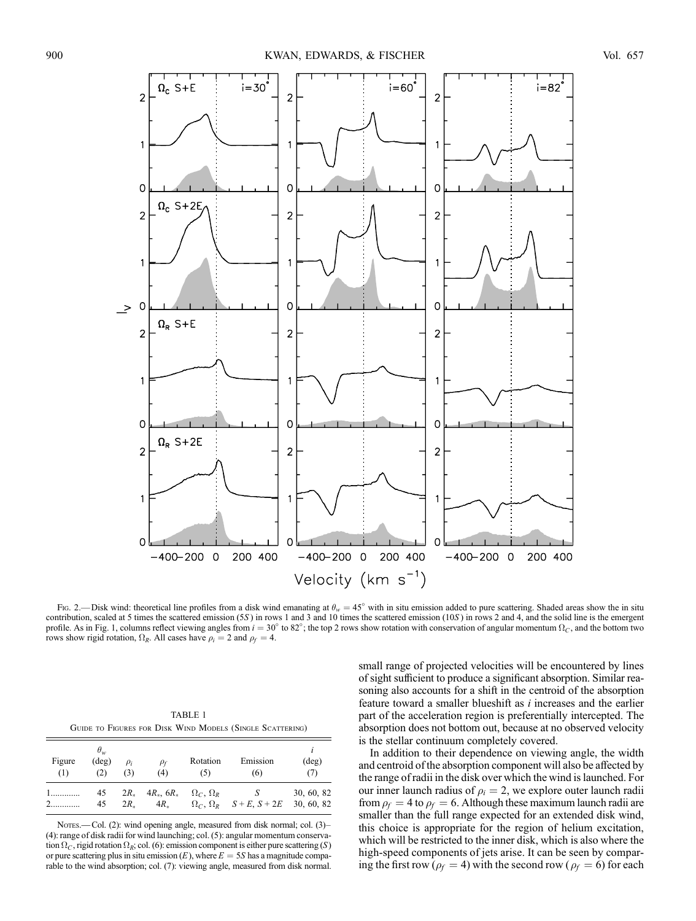

Fig. 2.—Disk wind: theoretical line profiles from a disk wind emanating at  $\theta_w = 45^\circ$  with in situ emission added to pure scattering. Shaded areas show the in situ contribution, scaled at 5 times the scattered emission (5S) in rows 1 and 3 and 10 times the scattered emission (10S) in rows 2 and 4, and the solid line is the emergent profile. As in Fig. 1, columns reflect viewing angles from  $i = 30^{\circ}$  to 82°; the top 2 rows show rotation with conservation of angular momentum  $\Omega_c$ , and the bottom two rows show rigid rotation,  $\Omega_R$ . All cases have  $\rho_i = 2$  and  $\rho_f = 4$ .

TABLE 1 Guide to Figures for Disk Wind Models (Single Scattering)

| Figure<br>(1) | $\theta_w$<br>$(\text{deg})$<br>(2) | $\rho_i$<br>(3)             | $\rho_f$<br>(4)                | Rotation<br>(5)         | Emission<br>(6)                        | $(\text{deg})$<br>(7)    |
|---------------|-------------------------------------|-----------------------------|--------------------------------|-------------------------|----------------------------------------|--------------------------|
| $1$           | 45<br>45                            | $2R_{\ast}$<br>$2R_{\odot}$ | $4R_*$ , $6R_*$<br>$4R_{\ast}$ | $\Omega_c$ , $\Omega_R$ | $\Omega_C$ , $\Omega_R$ $S+E$ , $S+2E$ | 30, 60, 82<br>30, 60, 82 |

Nores.—Col. (2): wind opening angle, measured from disk normal; col. (3)-(4): range of disk radii for wind launching; col. (5): angular momentum conservation  $\Omega_C$ , rigid rotation  $\Omega_R$ ; col. (6): emission component is either pure scattering (S) or pure scattering plus in situ emission  $(E)$ , where  $E = 5S$  has a magnitude comparable to the wind absorption; col. (7): viewing angle, measured from disk normal. small range of projected velocities will be encountered by lines of sight sufficient to produce a significant absorption. Similar reasoning also accounts for a shift in the centroid of the absorption feature toward a smaller blueshift as  $i$  increases and the earlier part of the acceleration region is preferentially intercepted. The absorption does not bottom out, because at no observed velocity is the stellar continuum completely covered.

In addition to their dependence on viewing angle, the width and centroid of the absorption component will also be affected by the range of radii in the disk over which the wind is launched. For our inner launch radius of  $\rho_i = 2$ , we explore outer launch radii from  $\rho_f = 4$  to  $\rho_f = 6$ . Although these maximum launch radii are smaller than the full range expected for an extended disk wind, this choice is appropriate for the region of helium excitation, which will be restricted to the inner disk, which is also where the high-speed components of jets arise. It can be seen by comparing the first row ( $\rho_f = 4$ ) with the second row ( $\rho_f = 6$ ) for each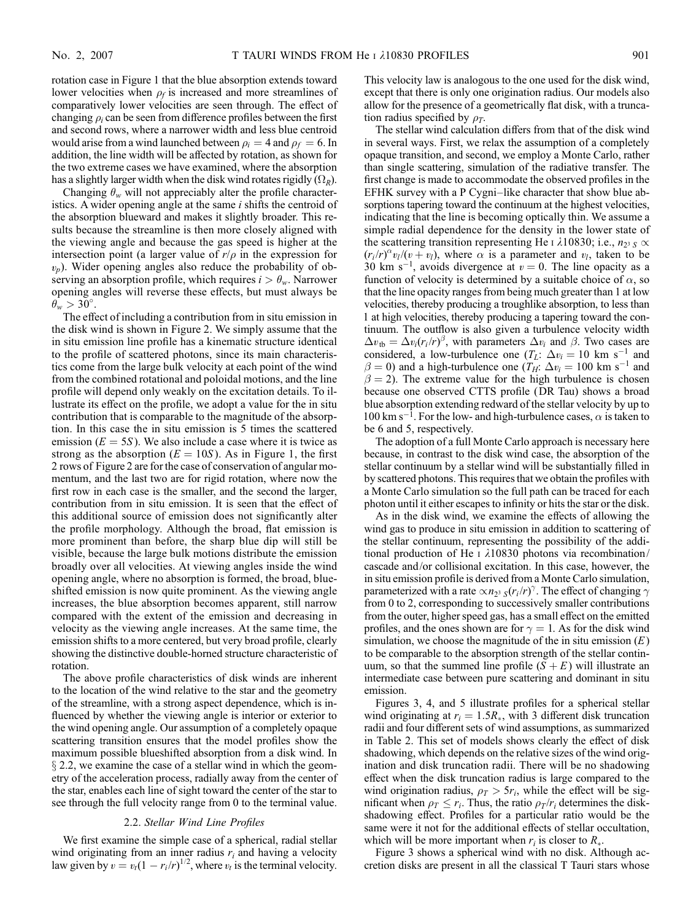rotation case in Figure 1 that the blue absorption extends toward lower velocities when  $\rho_f$  is increased and more streamlines of comparatively lower velocities are seen through. The effect of changing  $\rho_i$  can be seen from difference profiles between the first and second rows, where a narrower width and less blue centroid would arise from a wind launched between  $\rho_i = 4$  and  $\rho_f = 6$ . In addition, the line width will be affected by rotation, as shown for the two extreme cases we have examined, where the absorption has a slightly larger width when the disk wind rotates rigidly  $(\Omega_R)$ .

Changing  $\theta_w$  will not appreciably alter the profile characteristics. A wider opening angle at the same  $i$  shifts the centroid of the absorption blueward and makes it slightly broader. This results because the streamline is then more closely aligned with the viewing angle and because the gas speed is higher at the intersection point (a larger value of  $r/\rho$  in the expression for  $(v_p)$ . Wider opening angles also reduce the probability of observing an absorption profile, which requires  $i > \theta_w$ . Narrower opening angles will reverse these effects, but must always be  $\theta_w > 30^\circ$ .

The effect of including a contribution from in situ emission in the disk wind is shown in Figure 2. We simply assume that the in situ emission line profile has a kinematic structure identical to the profile of scattered photons, since its main characteristics come from the large bulk velocity at each point of the wind from the combined rotational and poloidal motions, and the line profile will depend only weakly on the excitation details. To illustrate its effect on the profile, we adopt a value for the in situ contribution that is comparable to the magnitude of the absorption. In this case the in situ emission is 5 times the scattered emission  $(E = 5S)$ . We also include a case where it is twice as strong as the absorption ( $E = 10S$ ). As in Figure 1, the first 2 rows of Figure 2 are for the case of conservation of angular momentum, and the last two are for rigid rotation, where now the first row in each case is the smaller, and the second the larger, contribution from in situ emission. It is seen that the effect of this additional source of emission does not significantly alter the profile morphology. Although the broad, flat emission is more prominent than before, the sharp blue dip will still be visible, because the large bulk motions distribute the emission broadly over all velocities. At viewing angles inside the wind opening angle, where no absorption is formed, the broad, blueshifted emission is now quite prominent. As the viewing angle increases, the blue absorption becomes apparent, still narrow compared with the extent of the emission and decreasing in velocity as the viewing angle increases. At the same time, the emission shifts to a more centered, but very broad profile, clearly showing the distinctive double-horned structure characteristic of rotation.

The above profile characteristics of disk winds are inherent to the location of the wind relative to the star and the geometry of the streamline, with a strong aspect dependence, which is influenced by whether the viewing angle is interior or exterior to the wind opening angle. Our assumption of a completely opaque scattering transition ensures that the model profiles show the maximum possible blueshifted absorption from a disk wind. In  $\S$  2.2, we examine the case of a stellar wind in which the geometry of the acceleration process, radially away from the center of the star, enables each line of sight toward the center of the star to see through the full velocity range from 0 to the terminal value.

#### 2.2. Stellar Wind Line Profiles

We first examine the simple case of a spherical, radial stellar wind originating from an inner radius  $r_i$  and having a velocity law given by  $v = v_t(1 - r_i/r)^{1/2}$ , where  $v_t$  is the terminal velocity.

This velocity law is analogous to the one used for the disk wind, except that there is only one origination radius. Our models also allow for the presence of a geometrically flat disk, with a truncation radius specified by  $\rho_T$ .

The stellar wind calculation differs from that of the disk wind in several ways. First, we relax the assumption of a completely opaque transition, and second, we employ a Monte Carlo, rather than single scattering, simulation of the radiative transfer. The first change is made to accommodate the observed profiles in the EFHK survey with a P Cygni-like character that show blue absorptions tapering toward the continuum at the highest velocities, indicating that the line is becoming optically thin. We assume a simple radial dependence for the density in the lower state of the scattering transition representing He I  $\lambda$ 10830; i.e.,  $n_{23}$   $\propto$  $(r_i/r)^\alpha v_i/(v + v_i)$ , where  $\alpha$  is a parameter and  $v_i$ , taken to be 30 km s<sup>-1</sup>, avoids divergence at  $v = 0$ . The line opacity as a function of velocity is determined by a suitable choice of  $\alpha$ , so that the line opacity ranges from being much greater than 1 at low velocities, thereby producing a troughlike absorption, to less than 1 at high velocities, thereby producing a tapering toward the continuum. The outflow is also given a turbulence velocity width  $\Delta v_{\rm tb} = \Delta v_i (r_i / r)^{\beta}$ , with parameters  $\Delta v_i$  and  $\beta$ . Two cases are considered, a low-turbulence one  $(T_L: \Delta v_i = 10 \text{ km s}^{-1})$  and  $\beta = 0$ ) and a high-turbulence one  $(T_H: \Delta v_i = 100 \text{ km s}^{-1}$  and  $\beta$  = 2). The extreme value for the high turbulence is chosen because one observed CTTS profile (DR Tau) shows a broad blue absorption extending redward of the stellar velocity by up to 100 km s<sup>-1</sup>. For the low- and high-turbulence cases,  $\alpha$  is taken to be 6 and 5, respectively.

The adoption of a full Monte Carlo approach is necessary here because, in contrast to the disk wind case, the absorption of the stellar continuum by a stellar wind will be substantially filled in by scattered photons. This requires that we obtain the profiles with a Monte Carlo simulation so the full path can be traced for each photon until it either escapes to infinity or hits the star or the disk.

As in the disk wind, we examine the effects of allowing the wind gas to produce in situ emission in addition to scattering of the stellar continuum, representing the possibility of the additional production of He  $\frac{1}{10830}$  photons via recombination/ cascade and/or collisional excitation. In this case, however, the in situ emission profile is derived from a Monte Carlo simulation, parameterized with a rate  $\propto n_{2^3}$   $_S (r_i / r)^\gamma$ . The effect of changing  $\gamma$ from 0 to 2, corresponding to successively smaller contributions from the outer, higher speed gas, has a small effect on the emitted profiles, and the ones shown are for  $\gamma = 1$ . As for the disk wind simulation, we choose the magnitude of the in situ emission  $(E)$ to be comparable to the absorption strength of the stellar continuum, so that the summed line profile  $(S + E)$  will illustrate an intermediate case between pure scattering and dominant in situ emission.

Figures 3, 4, and 5 illustrate profiles for a spherical stellar wind originating at  $r_i = 1.5R_*$ , with 3 different disk truncation radii and four different sets of wind assumptions, as summarized in Table 2. This set of models shows clearly the effect of disk shadowing, which depends on the relative sizes of the wind origination and disk truncation radii. There will be no shadowing effect when the disk truncation radius is large compared to the wind origination radius,  $\rho_T > 5r_i$ , while the effect will be significant when  $\rho_T \le r_i$ . Thus, the ratio  $\rho_T / r_i$  determines the diskshadowing effect. Profiles for a particular ratio would be the same were it not for the additional effects of stellar occultation, which will be more important when  $r_i$  is closer to  $R_{\ast}$ .

Figure 3 shows a spherical wind with no disk. Although accretion disks are present in all the classical T Tauri stars whose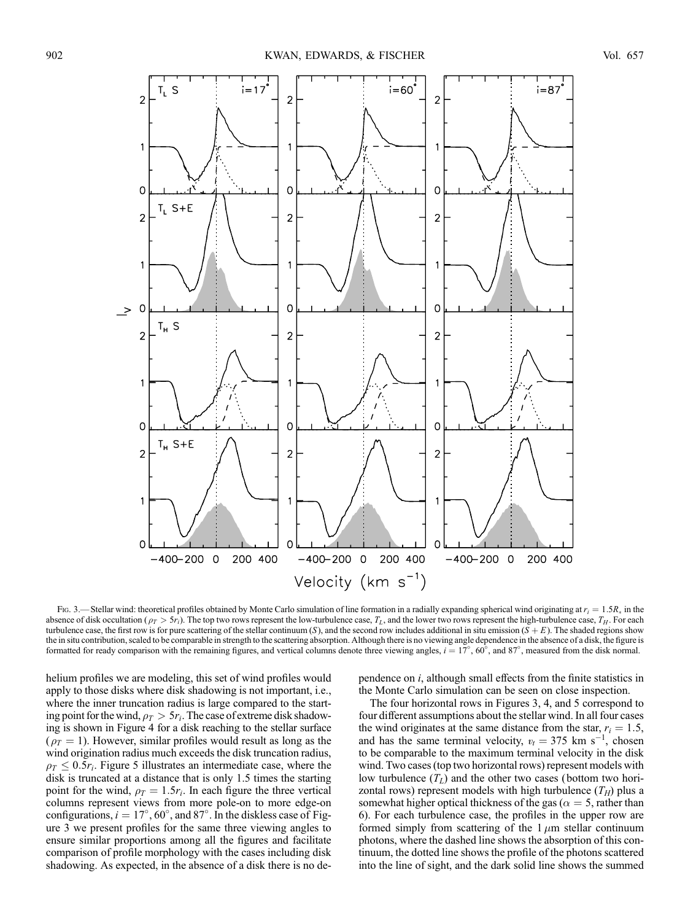

Fig. 3.—Stellar wind: theoretical profiles obtained by Monte Carlo simulation of line formation in a radially expanding spherical wind originating at  $r_i = 1.5R_*$  in the absence of disk occultation ( $\rho_T > 5r_i$ ). The top two rows represent the low-turbulence case,  $T_L$ , and the lower two rows represent the high-turbulence case,  $T_H$ . For each turbulence case, the first row is for pure scattering of the stellar continuum (S), and the second row includes additional in situ emission ( $\tilde{S} + E$ ). The shaded regions show the in situ contribution, scaled to be comparable in strength to the scattering absorption. Although there is no viewing angle dependence in the absence of a disk, the figure is formatted for ready comparison with the remaining figures, and vertical columns denote three viewing angles,  $i = 17^{\circ}$ ,  $60^{\circ}$ , and  $87^{\circ}$ , measured from the disk normal.

helium profiles we are modeling, this set of wind profiles would apply to those disks where disk shadowing is not important, i.e., where the inner truncation radius is large compared to the starting point for the wind,  $\rho_T > 5r_i$ . The case of extreme disk shadowing is shown in Figure 4 for a disk reaching to the stellar surface  $(\rho_T = 1)$ . However, similar profiles would result as long as the wind origination radius much exceeds the disk truncation radius,  $\rho_T \leq 0.5r_i$ . Figure 5 illustrates an intermediate case, where the disk is truncated at a distance that is only 1.5 times the starting point for the wind,  $\rho_T = 1.5r_i$ . In each figure the three vertical columns represent views from more pole-on to more edge-on configurations,  $i = 17^{\circ}$ , 60°, and 87°. In the diskless case of Figure 3 we present profiles for the same three viewing angles to ensure similar proportions among all the figures and facilitate comparison of profile morphology with the cases including disk shadowing. As expected, in the absence of a disk there is no dependence on i, although small effects from the finite statistics in the Monte Carlo simulation can be seen on close inspection.

The four horizontal rows in Figures 3, 4, and 5 correspond to four different assumptions about the stellar wind. In all four cases the wind originates at the same distance from the star,  $r_i = 1.5$ , and has the same terminal velocity,  $v_t = 375$  km s<sup>-1</sup>, chosen to be comparable to the maximum terminal velocity in the disk wind. Two cases (top two horizontal rows) represent models with low turbulence  $(T_L)$  and the other two cases (bottom two horizontal rows) represent models with high turbulence  $(T_H)$  plus a somewhat higher optical thickness of the gas ( $\alpha = 5$ , rather than 6). For each turbulence case, the profiles in the upper row are formed simply from scattering of the  $1 \mu m$  stellar continuum photons, where the dashed line shows the absorption of this continuum, the dotted line shows the profile of the photons scattered into the line of sight, and the dark solid line shows the summed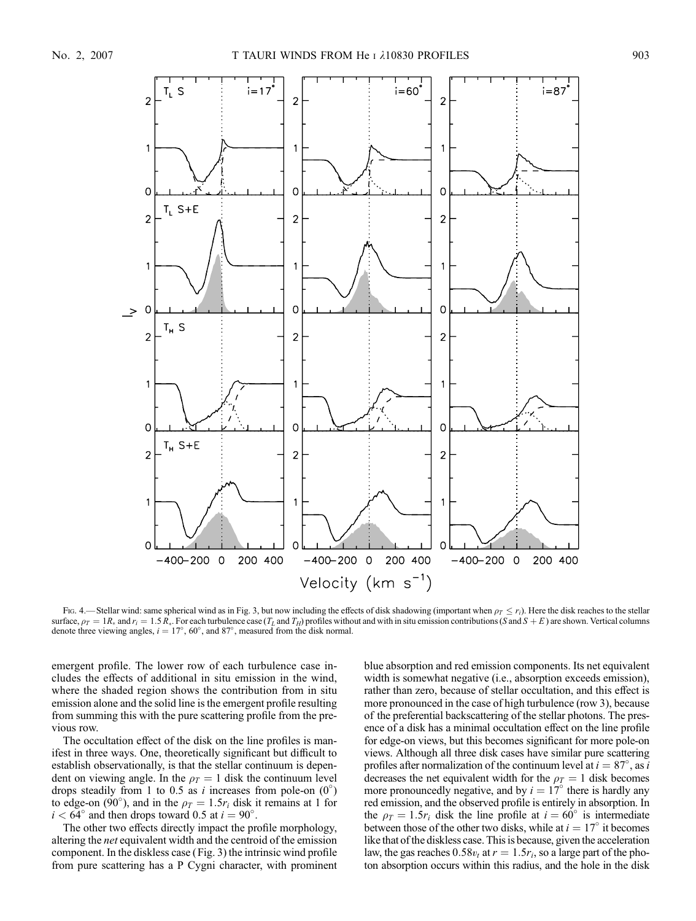

Fig. 4.—Stellar wind: same spherical wind as in Fig. 3, but now including the effects of disk shadowing (important when  $\rho_T < r_i$ ). Here the disk reaches to the stellar surface,  $\rho_T = 1R_*$  and  $r_i = 1.5 R_*$ . For each turbulence case  $(T_L$  and  $T_H$ ) profiles without and with in situ emission contributions (S and  $S + E$ ) are shown. Vertical columns denote three viewing angles,  $i = 17^{\circ}$ , 60°, and 87°, measured from the disk normal.

emergent profile. The lower row of each turbulence case includes the effects of additional in situ emission in the wind, where the shaded region shows the contribution from in situ emission alone and the solid line is the emergent profile resulting from summing this with the pure scattering profile from the previous row.

The occultation effect of the disk on the line profiles is manifest in three ways. One, theoretically significant but difficult to establish observationally, is that the stellar continuum is dependent on viewing angle. In the  $\rho_T = 1$  disk the continuum level drops steadily from 1 to 0.5 as *i* increases from pole-on  $(0^{\circ})$ to edge-on (90°), and in the  $\rho_T = 1.5r_i$  disk it remains at 1 for  $i < 64^{\circ}$  and then drops toward 0.5 at  $i = 90^{\circ}$ .

The other two effects directly impact the profile morphology, altering the net equivalent width and the centroid of the emission component. In the diskless case (Fig. 3) the intrinsic wind profile from pure scattering has a P Cygni character, with prominent blue absorption and red emission components. Its net equivalent width is somewhat negative (i.e., absorption exceeds emission), rather than zero, because of stellar occultation, and this effect is more pronounced in the case of high turbulence (row 3), because of the preferential backscattering of the stellar photons. The presence of a disk has a minimal occultation effect on the line profile for edge-on views, but this becomes significant for more pole-on views. Although all three disk cases have similar pure scattering profiles after normalization of the continuum level at  $i = 87^\circ$ , as i decreases the net equivalent width for the  $\rho_T = 1$  disk becomes more pronouncedly negative, and by  $i = 17^{\circ}$  there is hardly any red emission, and the observed profile is entirely in absorption. In the  $\rho_T = 1.5r_i$  disk the line profile at  $i = 60^\circ$  is intermediate between those of the other two disks, while at  $i = 17^\circ$  it becomes like that of the diskless case. This is because, given the acceleration law, the gas reaches  $0.58v_t$  at  $r = 1.5r_i$ , so a large part of the photon absorption occurs within this radius, and the hole in the disk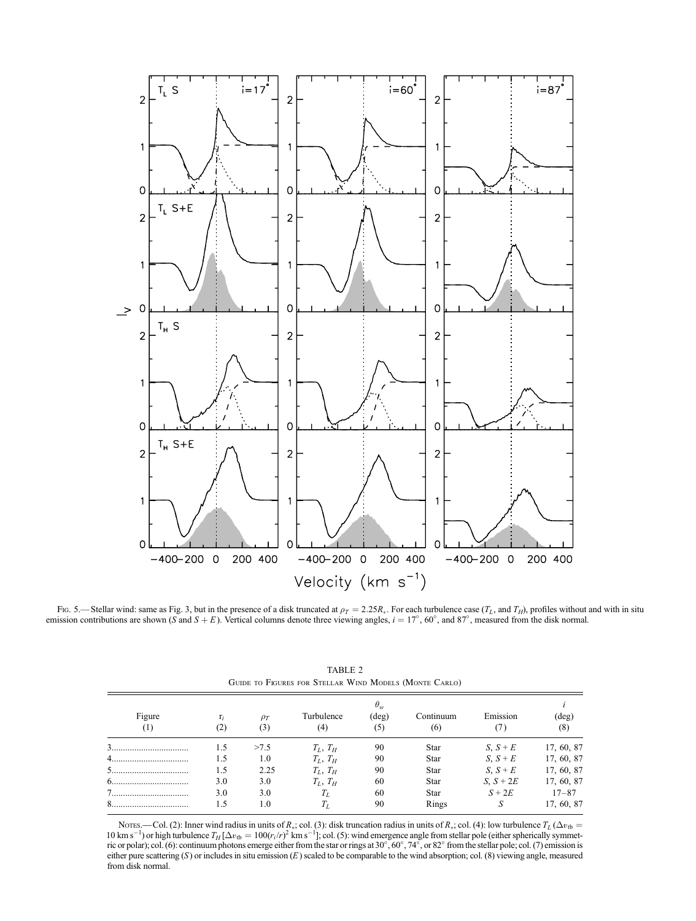

Fig. 5.—Stellar wind: same as Fig. 3, but in the presence of a disk truncated at  $\rho_T = 2.25R_*$ . For each turbulence case (T<sub>L</sub>, and T<sub>H</sub>), profiles without and with in situ emission contributions are shown (S and  $S + E$ ). Vertical columns denote three viewing angles,  $i = 17^{\circ}$ , 60°, and 87°, measured from the disk normal.

|                            | $\theta_w$   |                 |                   |                       |                  |           |                 |  |
|----------------------------|--------------|-----------------|-------------------|-----------------------|------------------|-----------|-----------------|--|
| Figure<br>$\left(1\right)$ | $r_i$<br>(2) | $\rho_T$<br>(3) | Turbulence<br>(4) | $(\text{deg})$<br>(5) | Continuum<br>(6) | Emission  | $(\deg)$<br>(8) |  |
|                            | 1.5          | >7.5            | $T_L$ , $T_H$     | 90                    | Star             | $S, S+E$  | 17, 60, 87      |  |
|                            | 1.5          | 1.0             | $T_I$ , $T_H$     | 90                    | <b>Star</b>      | $S, S+E$  | 17, 60, 87      |  |
|                            | 1.5          | 2.25            | $T_L, T_H$        | 90                    | Star             | $S, S+E$  | 17, 60, 87      |  |
| 6<br>                      | 3.0          | 3.0             | $T_I$ , $T_H$     | 60                    | Star             | $S, S+2E$ | 17, 60, 87      |  |
|                            | 3.0          | 3.0             | $T_L$             | 60                    | Star             | $S + 2E$  | $17 - 87$       |  |
|                            | 1.5          | 1.0             | $T_L$             | 90                    | Rings            | S         | 17, 60, 87      |  |

TABLE 2 Guide to Figures for Stellar Wind Models (Monte Carlo)

Nores.—Col. (2): Inner wind radius in units of  $R_*$ ; col. (3): disk truncation radius in units of  $R_*$ ; col. (4): low turbulence  $T_L(\Delta v_{tb} =$ 10 km s<sup>-1</sup>) or high furbulence  $T_H[\Delta v_{tb} = 100(r_i/r)^2$  km s<sup>-1</sup>]; col. (5): wind emergence angle from stellar pole (either spherically symmetric or polar); col. (6): continuum photons emerge either from the star or rings at either pure scattering  $(S)$  or includes in situ emission  $(E)$  scaled to be comparable to the wind absorption; col. (8) viewing angle, measured from disk normal.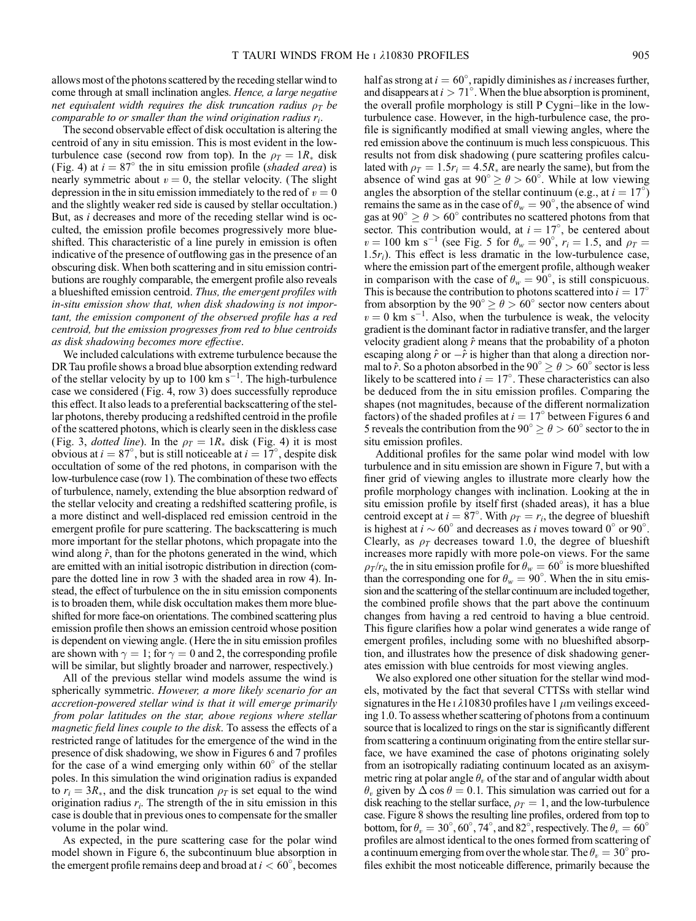allows most of the photons scattered by the receding stellar wind to come through at small inclination angles. Hence, a large negative net equivalent width requires the disk truncation radius  $\rho_T$  be comparable to or smaller than the wind origination radius  $r_i$ .

The second observable effect of disk occultation is altering the centroid of any in situ emission. This is most evident in the lowturbulence case (second row from top). In the  $\rho_T = 1R_*$  disk (Fig. 4) at  $i = 87^\circ$  the in situ emission profile (shaded area) is nearly symmetric about  $v = 0$ , the stellar velocity. (The slight depression in the in situ emission immediately to the red of  $v = 0$ and the slightly weaker red side is caused by stellar occultation.) But, as i decreases and more of the receding stellar wind is occulted, the emission profile becomes progressively more blueshifted. This characteristic of a line purely in emission is often indicative of the presence of outflowing gas in the presence of an obscuring disk. When both scattering and in situ emission contributions are roughly comparable, the emergent profile also reveals a blueshifted emission centroid. Thus, the emergent profiles with in-situ emission show that, when disk shadowing is not important, the emission component of the observed profile has a red centroid, but the emission progresses from red to blue centroids as disk shadowing becomes more effective.

We included calculations with extreme turbulence because the DR Tau profile shows a broad blue absorption extending redward of the stellar velocity by up to 100 km  $s^{-1}$ . The high-turbulence case we considered (Fig. 4, row 3) does successfully reproduce this effect. It also leads to a preferential backscattering of the stellar photons, thereby producing a redshifted centroid in the profile of the scattered photons, which is clearly seen in the diskless case (Fig. 3, *dotted line*). In the  $\rho_T = 1R_*$  disk (Fig. 4) it is most obvious at  $i = 87^\circ$ , but is still noticeable at  $i = 17^\circ$ , despite disk occultation of some of the red photons, in comparison with the low-turbulence case (row 1). The combination of these two effects of turbulence, namely, extending the blue absorption redward of the stellar velocity and creating a redshifted scattering profile, is a more distinct and well-displaced red emission centroid in the emergent profile for pure scattering. The backscattering is much more important for the stellar photons, which propagate into the wind along  $\hat{r}$ , than for the photons generated in the wind, which are emitted with an initial isotropic distribution in direction (compare the dotted line in row 3 with the shaded area in row 4). Instead, the effect of turbulence on the in situ emission components is to broaden them, while disk occultation makes them more blueshifted for more face-on orientations. The combined scattering plus emission profile then shows an emission centroid whose position is dependent on viewing angle. (Here the in situ emission profiles are shown with  $\gamma = 1$ ; for  $\gamma = 0$  and 2, the corresponding profile will be similar, but slightly broader and narrower, respectively.)

All of the previous stellar wind models assume the wind is spherically symmetric. However, a more likely scenario for an accretion-powered stellar wind is that it will emerge primarily from polar latitudes on the star, above regions where stellar magnetic field lines couple to the disk. To assess the effects of a restricted range of latitudes for the emergence of the wind in the presence of disk shadowing, we show in Figures 6 and 7 profiles for the case of a wind emerging only within  $60^\circ$  of the stellar poles. In this simulation the wind origination radius is expanded to  $r_i = 3R_*$ , and the disk truncation  $\rho_T$  is set equal to the wind origination radius  $r_i$ . The strength of the in situ emission in this case is double that in previous ones to compensate for the smaller volume in the polar wind.

As expected, in the pure scattering case for the polar wind model shown in Figure 6, the subcontinuum blue absorption in the emergent profile remains deep and broad at  $i < 60^{\circ}$ , becomes

half as strong at  $i = 60^\circ$ , rapidly diminishes as i increases further, and disappears at  $i > 71^{\circ}$ . When the blue absorption is prominent, the overall profile morphology is still P Cygni-like in the lowturbulence case. However, in the high-turbulence case, the profile is significantly modified at small viewing angles, where the red emission above the continuum is much less conspicuous. This results not from disk shadowing (pure scattering profiles calculated with  $\rho_T = 1.5r_i = 4.5R_*$  are nearly the same), but from the absence of wind gas at  $90^{\circ} \ge \theta > 60^{\circ}$ . While at low viewing angles the absorption of the stellar continuum (e.g., at  $i = 17^{\circ}$ ) remains the same as in the case of  $\theta_w = 90^\circ$ , the absence of wind gas at  $90^{\circ} > \theta > 60^{\circ}$  contributes no scattered photons from that sector. This contribution would, at  $i = 17^{\circ}$ , be centered about  $v = 100$  km s<sup>-1</sup> (see Fig. 5 for  $\theta_w = 90^\circ$ ,  $r_i = 1.5$ , and  $\rho_T =$  $1.5r_i$ ). This effect is less dramatic in the low-turbulence case, where the emission part of the emergent profile, although weaker in comparison with the case of  $\theta_w = 90^\circ$ , is still conspicuous. This is because the contribution to photons scattered into  $i = 17^{\circ}$ from absorption by the  $90^{\circ} \ge \theta > 60^{\circ}$  sector now centers about  $v = 0$  km s<sup>-1</sup>. Also, when the turbulence is weak, the velocity gradient is the dominant factor in radiative transfer, and the larger velocity gradient along  $\hat{r}$  means that the probability of a photon escaping along  $\hat{r}$  or  $-\hat{r}$  is higher than that along a direction normal to  $\hat{r}$ . So a photon absorbed in the 90°  $\geq \theta > 60$ ° sector is less likely to be scattered into  $i = 17^\circ$ . These characteristics can also be deduced from the in situ emission profiles. Comparing the shapes (not magnitudes, because of the different normalization factors) of the shaded profiles at  $i = 17^\circ$  between Figures 6 and 5 reveals the contribution from the 90°  $\ge \theta > 60$ ° sector to the in situ emission profiles.

Additional profiles for the same polar wind model with low turbulence and in situ emission are shown in Figure 7, but with a finer grid of viewing angles to illustrate more clearly how the profile morphology changes with inclination. Looking at the in situ emission profile by itself first (shaded areas), it has a blue centroid except at  $i = 87^\circ$ . With  $\rho_T = r_i$ , the degree of blueshift is highest at  $i \sim 60^{\circ}$  and decreases as i moves toward 0° or 90°. Clearly, as  $\rho_T$  decreases toward 1.0, the degree of blueshift increases more rapidly with more pole-on views. For the same  $\rho_T/r_i$ , the in situ emission profile for  $\theta_w = 60^\circ$  is more blueshifted than the corresponding one for  $\theta_w = 90^\circ$ . When the in situ emission and the scattering of the stellar continuum are included together, the combined profile shows that the part above the continuum changes from having a red centroid to having a blue centroid. This figure clarifies how a polar wind generates a wide range of emergent profiles, including some with no blueshifted absorption, and illustrates how the presence of disk shadowing generates emission with blue centroids for most viewing angles.

We also explored one other situation for the stellar wind models, motivated by the fact that several CTTSs with stellar wind signatures in the He I  $\lambda$ 10830 profiles have 1  $\mu$ m veilings exceeding 1.0. To assess whether scattering of photons from a continuum source that is localized to rings on the star is significantly different from scattering a continuum originating from the entire stellar surface, we have examined the case of photons originating solely from an isotropically radiating continuum located as an axisymmetric ring at polar angle  $\theta$ , of the star and of angular width about  $\theta_v$  given by  $\Delta \cos \theta = 0.1$ . This simulation was carried out for a disk reaching to the stellar surface,  $\rho_T = 1$ , and the low-turbulence case. Figure 8 shows the resulting line profiles, ordered from top to bottom, for  $\theta_v = 30^\circ, 60^\circ, 74^\circ$ , and  $82^\circ$ , respectively. The  $\theta_v = 60^\circ$ profiles are almost identical to the ones formed from scattering of a continuum emerging from over the whole star. The  $\theta_v = 30^\circ$  profiles exhibit the most noticeable difference, primarily because the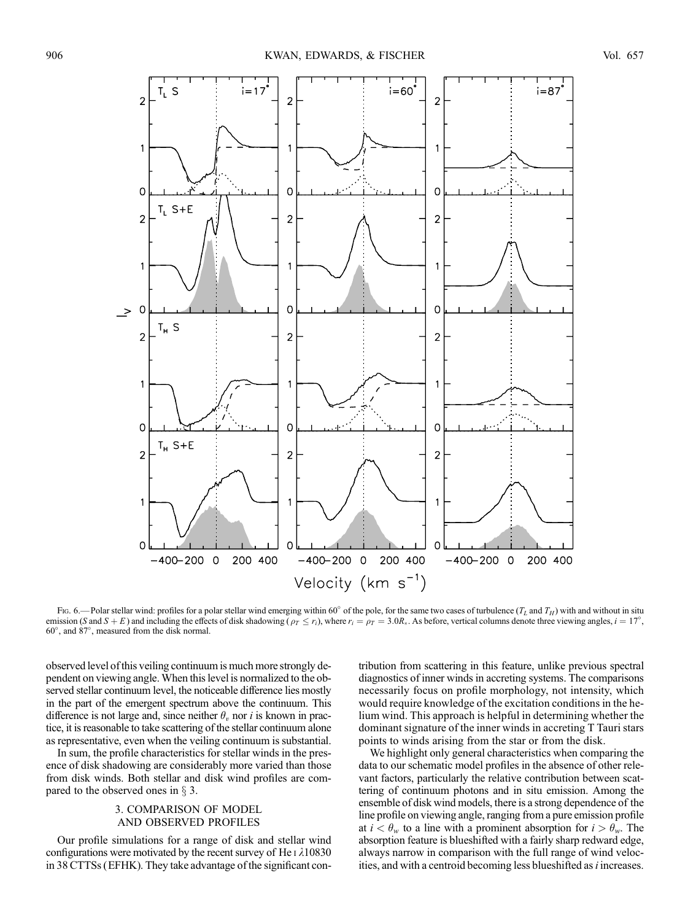

Fig. 6.—Polar stellar wind: profiles for a polar stellar wind emerging within 60° of the pole, for the same two cases of turbulence  $(T_L$  and  $T_H$ ) with and without in situ emission (S and S + E) and including the effects of disk shadowing  $(\rho_T \le r_i)$ , where  $r_i = \rho_T = 3.0R_*$ . As before, vertical columns denote three viewing angles,  $i = 17^\circ$ , 60 , and 87 , measured from the disk normal.

observed level of this veiling continuum is much more strongly dependent on viewing angle.When this level is normalized to the observed stellar continuum level, the noticeable difference lies mostly in the part of the emergent spectrum above the continuum. This difference is not large and, since neither  $\theta_v$  nor i is known in practice, it is reasonable to take scattering of the stellar continuum alone as representative, even when the veiling continuum is substantial.

In sum, the profile characteristics for stellar winds in the presence of disk shadowing are considerably more varied than those from disk winds. Both stellar and disk wind profiles are compared to the observed ones in  $\S$  3.

## 3. COMPARISON OF MODEL AND OBSERVED PROFILES

Our profile simulations for a range of disk and stellar wind configurations were motivated by the recent survey of He  $\iota$   $\lambda$ 10830 in 38 CTTSs (EFHK). They take advantage of the significant con-

tribution from scattering in this feature, unlike previous spectral diagnostics of inner winds in accreting systems. The comparisons necessarily focus on profile morphology, not intensity, which would require knowledge of the excitation conditions in the helium wind. This approach is helpful in determining whether the dominant signature of the inner winds in accreting T Tauri stars points to winds arising from the star or from the disk.

We highlight only general characteristics when comparing the data to our schematic model profiles in the absence of other relevant factors, particularly the relative contribution between scattering of continuum photons and in situ emission. Among the ensemble of disk wind models, there is a strong dependence of the line profile on viewing angle, ranging from a pure emission profile at  $i < \theta_w$  to a line with a prominent absorption for  $i > \theta_w$ . The absorption feature is blueshifted with a fairly sharp redward edge, always narrow in comparison with the full range of wind velocities, and with a centroid becoming less blueshifted as  $i$  increases.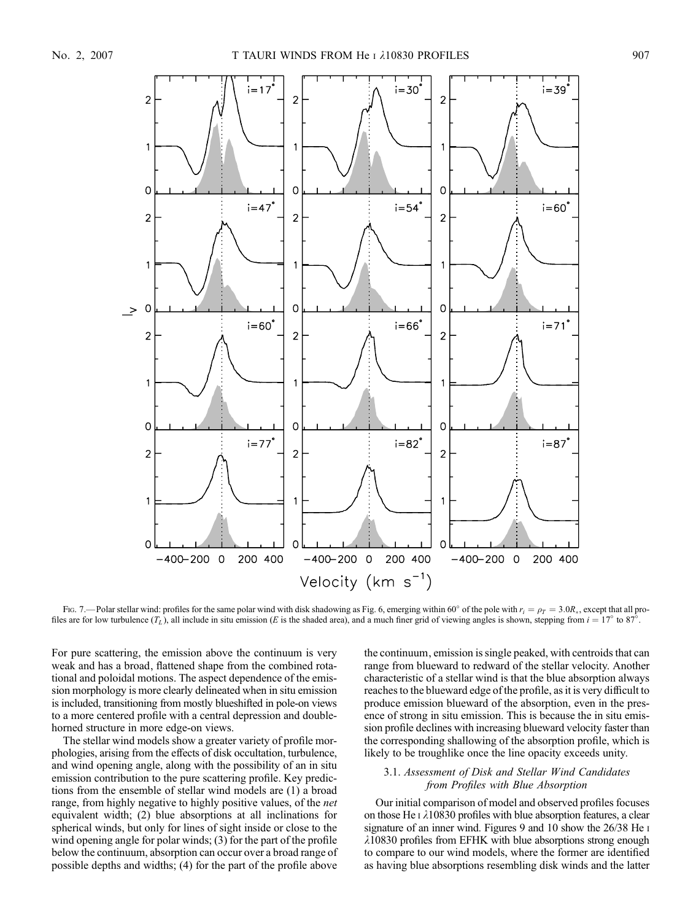

Fig. 7.—Polar stellar wind: profiles for the same polar wind with disk shadowing as Fig. 6, emerging within 60° of the pole with  $r_i = \rho_T = 3.0R_*$ , except that all profiles are for low turbulence  $(T_L)$ , all include in situ emission (E is the shaded area), and a much finer grid of viewing angles is shown, stepping from  $i = 17^{\circ}$  to 87<sup>5</sup>.

For pure scattering, the emission above the continuum is very weak and has a broad, flattened shape from the combined rotational and poloidal motions. The aspect dependence of the emission morphology is more clearly delineated when in situ emission is included, transitioning from mostly blueshifted in pole-on views to a more centered profile with a central depression and doublehorned structure in more edge-on views.

The stellar wind models show a greater variety of profile morphologies, arising from the effects of disk occultation, turbulence, and wind opening angle, along with the possibility of an in situ emission contribution to the pure scattering profile. Key predictions from the ensemble of stellar wind models are (1) a broad range, from highly negative to highly positive values, of the net equivalent width; (2) blue absorptions at all inclinations for spherical winds, but only for lines of sight inside or close to the wind opening angle for polar winds; (3) for the part of the profile below the continuum, absorption can occur over a broad range of possible depths and widths; (4) for the part of the profile above the continuum, emission is single peaked, with centroids that can range from blueward to redward of the stellar velocity. Another characteristic of a stellar wind is that the blue absorption always reaches to the blueward edge of the profile, as it is very difficult to produce emission blueward of the absorption, even in the presence of strong in situ emission. This is because the in situ emission profile declines with increasing blueward velocity faster than the corresponding shallowing of the absorption profile, which is likely to be troughlike once the line opacity exceeds unity.

# 3.1. Assessment of Disk and Stellar Wind Candidates from Profiles with Blue Absorption

Our initial comparison of model and observed profiles focuses on those He  $\overline{1}$   $\lambda$ 10830 profiles with blue absorption features, a clear signature of an inner wind. Figures 9 and 10 show the 26/38 He I  $\lambda$ 10830 profiles from EFHK with blue absorptions strong enough to compare to our wind models, where the former are identified as having blue absorptions resembling disk winds and the latter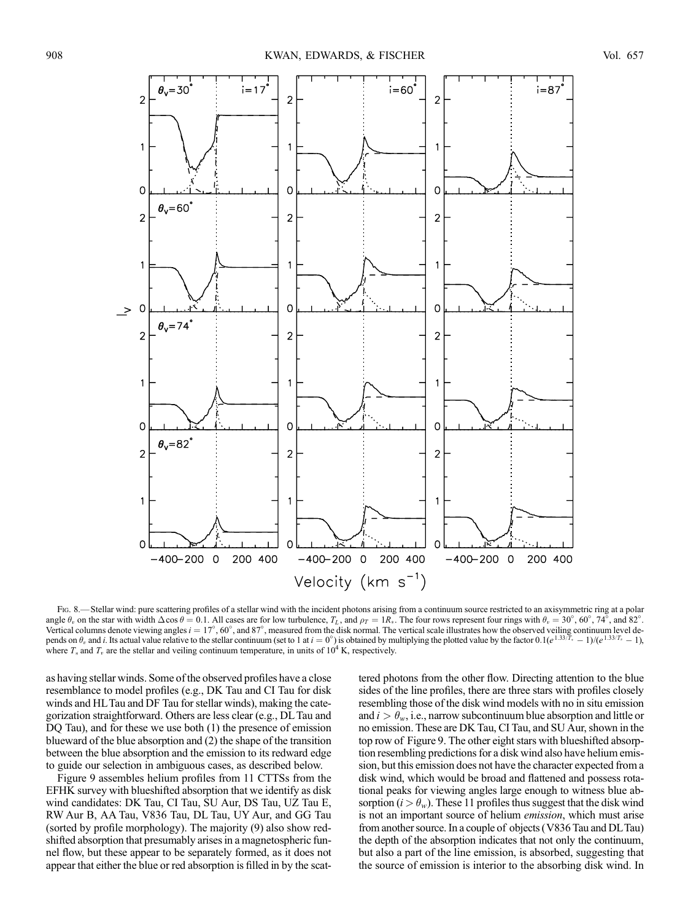

Fig. 8.—Stellar wind: pure scattering profiles of a stellar wind with the incident photons arising from a continuum source restricted to an axisymmetric ring at a polar angle  $\theta_v$  on the star with width  $\Delta \cos \theta = 0.1$ . All cases are for low turbulence,  $T_L$ , and  $\rho_T = 1R_*$ . The four rows represent four rings with  $\theta_v = 30^\circ$ ,  $60^\circ$ ,  $74^\circ$ , and 82°. Vertical columns denote viewing angles  $i = 17^{\circ}$ , 60°, and 87°, measured from the disk normal. The vertical scale illustrates how the observed veiling continuum level depends on  $\theta_v$  and i. Its actual value relative to the stellar continuum (set to 1 at  $i=0^\circ$ ) is obtained by multiplying the plotted value by the factor  $0.1(e^{1.33/T_v} - 1)/(e^{1.33/T_v} - 1)$ where  $T_*$  and  $T_v$  are the stellar and veiling continuum temperature, in units of  $10^4$  K, respectively.

as having stellar winds. Some of the observed profiles have a close resemblance to model profiles (e.g., DK Tau and CI Tau for disk winds and HLTau and DF Tau for stellar winds), making the categorization straightforward. Others are less clear (e.g., DL Tau and DQ Tau), and for these we use both (1) the presence of emission blueward of the blue absorption and (2) the shape of the transition between the blue absorption and the emission to its redward edge to guide our selection in ambiguous cases, as described below.

Figure 9 assembles helium profiles from 11 CTTSs from the EFHK survey with blueshifted absorption that we identify as disk wind candidates: DK Tau, CI Tau, SU Aur, DS Tau, UZ Tau E, RW Aur B, AA Tau, V836 Tau, DL Tau, UY Aur, and GG Tau (sorted by profile morphology). The majority (9) also show redshifted absorption that presumably arises in a magnetospheric funnel flow, but these appear to be separately formed, as it does not appear that either the blue or red absorption is filled in by the scattered photons from the other flow. Directing attention to the blue sides of the line profiles, there are three stars with profiles closely resembling those of the disk wind models with no in situ emission and  $i > \theta_w$ , i.e., narrow subcontinuum blue absorption and little or no emission. These are DK Tau, CI Tau, and SU Aur, shown in the top row of Figure 9. The other eight stars with blueshifted absorption resembling predictions for a disk wind also have helium emission, but this emission does not have the character expected from a disk wind, which would be broad and flattened and possess rotational peaks for viewing angles large enough to witness blue absorption ( $i > \theta_w$ ). These 11 profiles thus suggest that the disk wind is not an important source of helium emission, which must arise from another source. In a couple of objects (V836 Tau and DLTau) the depth of the absorption indicates that not only the continuum, but also a part of the line emission, is absorbed, suggesting that the source of emission is interior to the absorbing disk wind. In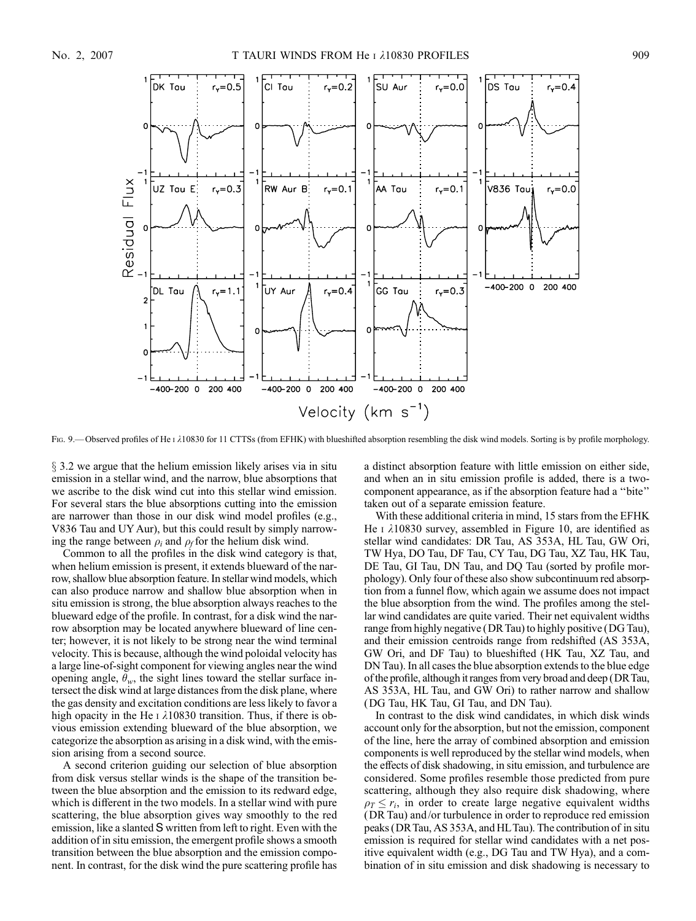

Fig. 9.—Observed profiles of He i  $\lambda$ 10830 for 11 CTTSs (from EFHK) with blueshifted absorption resembling the disk wind models. Sorting is by profile morphology.

 $\S$  3.2 we argue that the helium emission likely arises via in situ emission in a stellar wind, and the narrow, blue absorptions that we ascribe to the disk wind cut into this stellar wind emission. For several stars the blue absorptions cutting into the emission are narrower than those in our disk wind model profiles (e.g., V836 Tau and UY Aur), but this could result by simply narrowing the range between  $\rho_i$  and  $\rho_f$  for the helium disk wind.

Common to all the profiles in the disk wind category is that, when helium emission is present, it extends blueward of the narrow, shallow blue absorption feature. In stellar wind models, which can also produce narrow and shallow blue absorption when in situ emission is strong, the blue absorption always reaches to the blueward edge of the profile. In contrast, for a disk wind the narrow absorption may be located anywhere blueward of line center; however, it is not likely to be strong near the wind terminal velocity. This is because, although the wind poloidal velocity has a large line-of-sight component for viewing angles near the wind opening angle,  $\theta_w$ , the sight lines toward the stellar surface intersect the disk wind at large distances from the disk plane, where the gas density and excitation conditions are less likely to favor a high opacity in the He  $\iota$   $\lambda$ 10830 transition. Thus, if there is obvious emission extending blueward of the blue absorption, we categorize the absorption as arising in a disk wind, with the emission arising from a second source.

A second criterion guiding our selection of blue absorption from disk versus stellar winds is the shape of the transition between the blue absorption and the emission to its redward edge, which is different in the two models. In a stellar wind with pure scattering, the blue absorption gives way smoothly to the red emission, like a slanted *S* written from left to right. Even with the addition of in situ emission, the emergent profile shows a smooth transition between the blue absorption and the emission component. In contrast, for the disk wind the pure scattering profile has a distinct absorption feature with little emission on either side, and when an in situ emission profile is added, there is a twocomponent appearance, as if the absorption feature had a ''bite'' taken out of a separate emission feature.

With these additional criteria in mind, 15 stars from the EFHK He  $\scriptstyle\rm I$   $\lambda10830$  survey, assembled in Figure 10, are identified as stellar wind candidates: DR Tau, AS 353A, HL Tau, GW Ori, TW Hya, DO Tau, DF Tau, CY Tau, DG Tau, XZ Tau, HK Tau, DE Tau, GI Tau, DN Tau, and DQ Tau (sorted by profile morphology). Only four of these also show subcontinuum red absorption from a funnel flow, which again we assume does not impact the blue absorption from the wind. The profiles among the stellar wind candidates are quite varied. Their net equivalent widths range from highly negative (DRTau) to highly positive (DGTau), and their emission centroids range from redshifted (AS 353A, GW Ori, and DF Tau) to blueshifted (HK Tau, XZ Tau, and DN Tau). In all cases the blue absorption extends to the blue edge of the profile, although it ranges from very broad and deep (DRTau, AS 353A, HL Tau, and GW Ori) to rather narrow and shallow (DG Tau, HK Tau, GI Tau, and DN Tau).

In contrast to the disk wind candidates, in which disk winds account only for the absorption, but not the emission, component of the line, here the array of combined absorption and emission components is well reproduced by the stellar wind models, when the effects of disk shadowing, in situ emission, and turbulence are considered. Some profiles resemble those predicted from pure scattering, although they also require disk shadowing, where  $\rho_T \le r_i$ , in order to create large negative equivalent widths (DR Tau) and/or turbulence in order to reproduce red emission peaks (DRTau, AS 353A, and HLTau). The contribution of in situ emission is required for stellar wind candidates with a net positive equivalent width (e.g., DG Tau and TW Hya), and a combination of in situ emission and disk shadowing is necessary to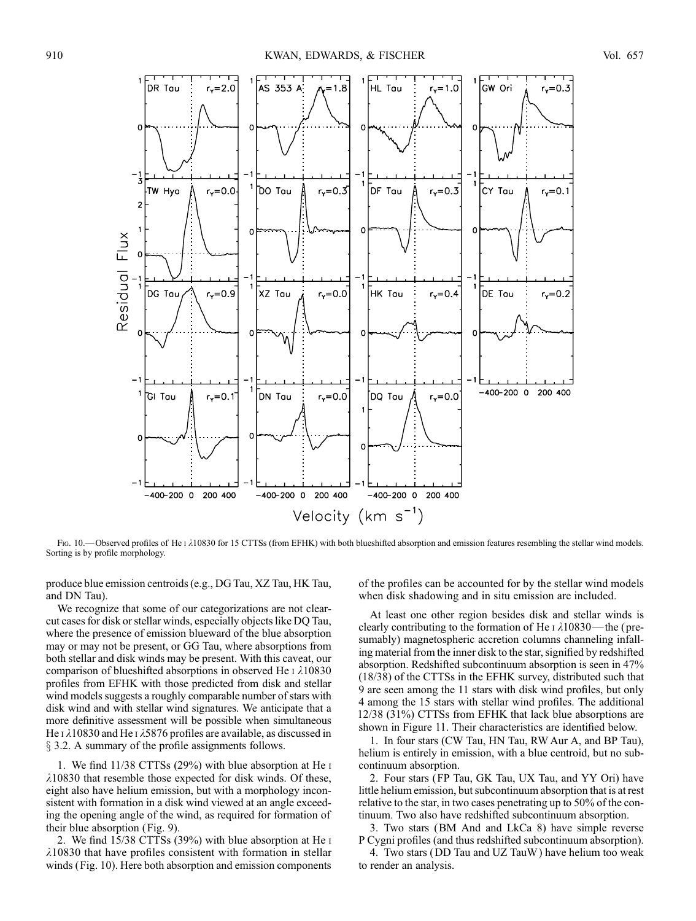

Fig. 10.—Observed profiles of He i  $\lambda$ 10830 for 15 CTTSs (from EFHK) with both blueshifted absorption and emission features resembling the stellar wind models. Sorting is by profile morphology.

produce blue emission centroids (e.g., DG Tau, XZ Tau, HK Tau, and DN Tau).

We recognize that some of our categorizations are not clearcut cases for disk or stellar winds, especially objects like DQ Tau, where the presence of emission blueward of the blue absorption may or may not be present, or GG Tau, where absorptions from both stellar and disk winds may be present. With this caveat, our comparison of blueshifted absorptions in observed He  $\iota$   $\lambda$ 10830 profiles from EFHK with those predicted from disk and stellar wind models suggests a roughly comparable number of stars with disk wind and with stellar wind signatures. We anticipate that a more definitive assessment will be possible when simultaneous He  $\iota$   $\lambda$ 10830 and He  $\iota$   $\lambda$ 5876 profiles are available, as discussed in  $\S$  3.2. A summary of the profile assignments follows.

1. We find 11/38 CTTSs (29%) with blue absorption at He i  $\lambda$ 10830 that resemble those expected for disk winds. Of these, eight also have helium emission, but with a morphology inconsistent with formation in a disk wind viewed at an angle exceeding the opening angle of the wind, as required for formation of their blue absorption (Fig. 9).

2. We find 15/38 CTTSs (39%) with blue absorption at He i  $\lambda$ 10830 that have profiles consistent with formation in stellar winds (Fig. 10). Here both absorption and emission components

of the profiles can be accounted for by the stellar wind models when disk shadowing and in situ emission are included.

At least one other region besides disk and stellar winds is clearly contributing to the formation of He  $\iota$   $\lambda$ 10830—the (presumably) magnetospheric accretion columns channeling infalling material from the inner disk to the star, signified by redshifted absorption. Redshifted subcontinuum absorption is seen in 47% (18/38) of the CTTSs in the EFHK survey, distributed such that 9 are seen among the 11 stars with disk wind profiles, but only 4 among the 15 stars with stellar wind profiles. The additional 12/38 (31%) CTTSs from EFHK that lack blue absorptions are shown in Figure 11. Their characteristics are identified below.

1. In four stars (CW Tau, HN Tau, RW Aur A, and BP Tau), helium is entirely in emission, with a blue centroid, but no subcontinuum absorption.

2. Four stars (FP Tau, GK Tau, UX Tau, and YY Ori) have little helium emission, but subcontinuum absorption that is at rest relative to the star, in two cases penetrating up to 50% of the continuum. Two also have redshifted subcontinuum absorption.

3. Two stars (BM And and LkCa 8) have simple reverse P Cygni profiles (and thus redshifted subcontinuum absorption).

4. Two stars (DD Tau and UZ TauW ) have helium too weak to render an analysis.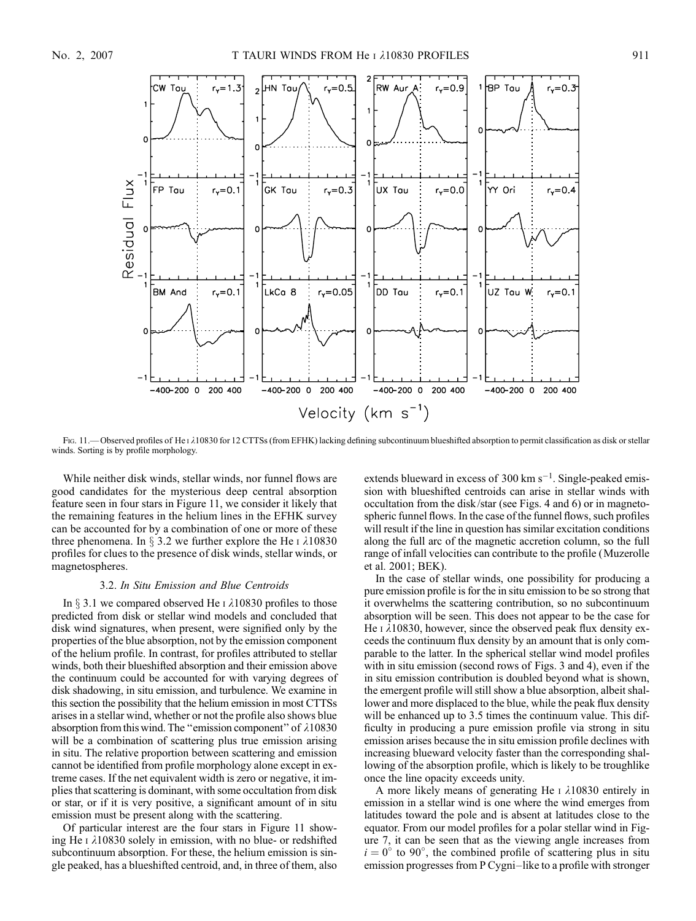

FIG. 11.— Observed profiles of He I  $\lambda$ 10830 for 12 CTTSs (from EFHK) lacking defining subcontinuum blueshifted absorption to permit classification as disk or stellar winds. Sorting is by profile morphology.

While neither disk winds, stellar winds, nor funnel flows are good candidates for the mysterious deep central absorption feature seen in four stars in Figure 11, we consider it likely that the remaining features in the helium lines in the EFHK survey can be accounted for by a combination of one or more of these three phenomena. In  $\S 3.2$  we further explore the He  $\iota$   $\lambda$ 10830 profiles for clues to the presence of disk winds, stellar winds, or magnetospheres.

#### 3.2. In Situ Emission and Blue Centroids

In  $\S$  3.1 we compared observed He I  $\lambda$ 10830 profiles to those predicted from disk or stellar wind models and concluded that disk wind signatures, when present, were signified only by the properties of the blue absorption, not by the emission component of the helium profile. In contrast, for profiles attributed to stellar winds, both their blueshifted absorption and their emission above the continuum could be accounted for with varying degrees of disk shadowing, in situ emission, and turbulence. We examine in this section the possibility that the helium emission in most CTTSs arises in a stellar wind, whether or not the profile also shows blue absorption from this wind. The "emission component" of  $\lambda 10830$ will be a combination of scattering plus true emission arising in situ. The relative proportion between scattering and emission cannot be identified from profile morphology alone except in extreme cases. If the net equivalent width is zero or negative, it implies that scattering is dominant, with some occultation from disk or star, or if it is very positive, a significant amount of in situ emission must be present along with the scattering.

Of particular interest are the four stars in Figure 11 showing He  $\iota$   $\lambda$ 10830 solely in emission, with no blue- or redshifted subcontinuum absorption. For these, the helium emission is single peaked, has a blueshifted centroid, and, in three of them, also

extends blueward in excess of 300  $\text{km s}^{-1}$ . Single-peaked emission with blueshifted centroids can arise in stellar winds with occultation from the disk/star (see Figs. 4 and 6) or in magnetospheric funnel flows. In the case of the funnel flows, such profiles will result if the line in question has similar excitation conditions along the full arc of the magnetic accretion column, so the full range of infall velocities can contribute to the profile (Muzerolle et al. 2001; BEK).

In the case of stellar winds, one possibility for producing a pure emission profile is for the in situ emission to be so strong that it overwhelms the scattering contribution, so no subcontinuum absorption will be seen. This does not appear to be the case for He  $\iota$   $\lambda$ 10830, however, since the observed peak flux density exceeds the continuum flux density by an amount that is only comparable to the latter. In the spherical stellar wind model profiles with in situ emission (second rows of Figs. 3 and 4), even if the in situ emission contribution is doubled beyond what is shown, the emergent profile will still show a blue absorption, albeit shallower and more displaced to the blue, while the peak flux density will be enhanced up to 3.5 times the continuum value. This difficulty in producing a pure emission profile via strong in situ emission arises because the in situ emission profile declines with increasing blueward velocity faster than the corresponding shallowing of the absorption profile, which is likely to be troughlike once the line opacity exceeds unity.

A more likely means of generating He  $\iota$   $\lambda$ 10830 entirely in emission in a stellar wind is one where the wind emerges from latitudes toward the pole and is absent at latitudes close to the equator. From our model profiles for a polar stellar wind in Figure 7, it can be seen that as the viewing angle increases from  $i = 0^{\circ}$  to 90°, the combined profile of scattering plus in situ emission progresses from P Cygni-like to a profile with stronger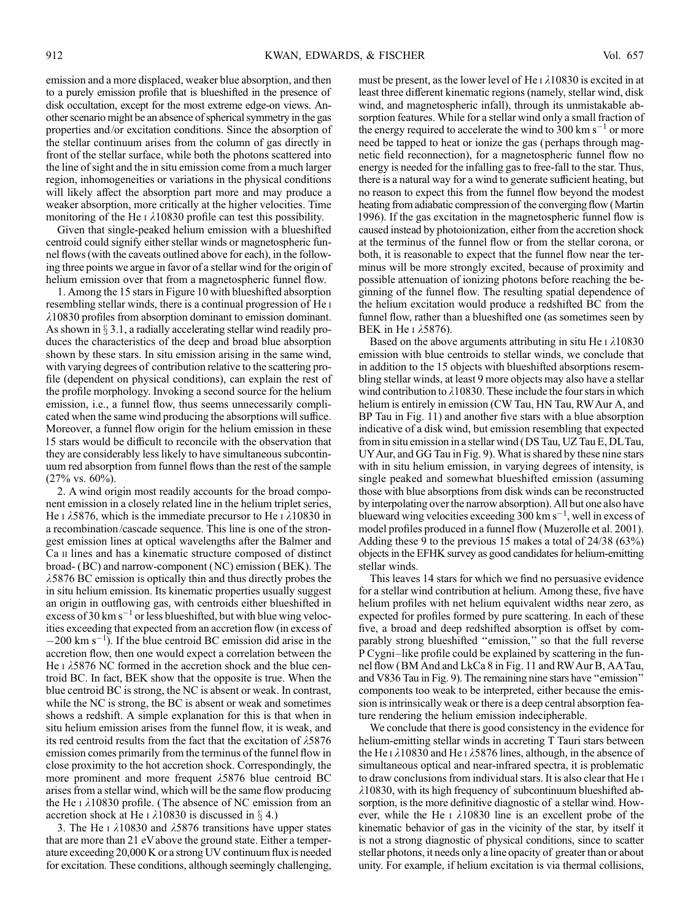emission and a more displaced, weaker blue absorption, and then to a purely emission profile that is blueshifted in the presence of disk occultation, except for the most extreme edge-on views. Another scenario might be an absence of spherical symmetry in the gas properties and/or excitation conditions. Since the absorption of the stellar continuum arises from the column of gas directly in front of the stellar surface, while both the photons scattered into the line of sight and the in situ emission come from a much larger region, inhomogeneities or variations in the physical conditions will likely affect the absorption part more and may produce a weaker absorption, more critically at the higher velocities. Time monitoring of the He  $\iota$   $\lambda$ 10830 profile can test this possibility.

Given that single-peaked helium emission with a blueshifted centroid could signify either stellar winds or magnetospheric funnel flows (with the caveats outlined above for each), in the following three points we argue in favor of a stellar wind for the origin of helium emission over that from a magnetospheric funnel flow.

1. Among the 15 stars in Figure 10 with blueshifted absorption resembling stellar winds, there is a continual progression of He i  $\lambda$ 10830 profiles from absorption dominant to emission dominant. As shown in  $\S 3.1$ , a radially accelerating stellar wind readily produces the characteristics of the deep and broad blue absorption shown by these stars. In situ emission arising in the same wind, with varying degrees of contribution relative to the scattering profile (dependent on physical conditions), can explain the rest of the profile morphology. Invoking a second source for the helium emission, i.e., a funnel flow, thus seems unnecessarily complicated when the same wind producing the absorptions will suffice. Moreover, a funnel flow origin for the helium emission in these 15 stars would be difficult to reconcile with the observation that they are considerably less likely to have simultaneous subcontinuum red absorption from funnel flows than the rest of the sample  $(27\% \text{ vs. } 60\%)$ .

2. A wind origin most readily accounts for the broad component emission in a closely related line in the helium triplet series, He I  $\lambda$ 5876, which is the immediate precursor to He I  $\lambda$ 10830 in a recombination/cascade sequence. This line is one of the strongest emission lines at optical wavelengths after the Balmer and Ca II lines and has a kinematic structure composed of distinct broad- (BC) and narrow-component (NC) emission (BEK). The  $\lambda$ 5876 BC emission is optically thin and thus directly probes the in situ helium emission. Its kinematic properties usually suggest an origin in outflowing gas, with centroids either blueshifted in excess of 30 km  $s^{-1}$  or less blueshifted, but with blue wing velocities exceeding that expected from an accretion flow (in excess of  $-200 \text{ km s}^{-1}$ . If the blue centroid BC emission did arise in the accretion flow, then one would expect a correlation between the He I  $\lambda$ 5876 NC formed in the accretion shock and the blue centroid BC. In fact, BEK show that the opposite is true. When the blue centroid BC is strong, the NC is absent or weak. In contrast, while the NC is strong, the BC is absent or weak and sometimes shows a redshift. A simple explanation for this is that when in situ helium emission arises from the funnel flow, it is weak, and its red centroid results from the fact that the excitation of  $\lambda$ 5876 emission comes primarily from the terminus of the funnel flow in close proximity to the hot accretion shock. Correspondingly, the more prominent and more frequent  $\lambda$ 5876 blue centroid BC arises from a stellar wind, which will be the same flow producing the He  $\iota$   $\lambda$ 10830 profile. (The absence of NC emission from an accretion shock at He I  $\lambda$ 10830 is discussed in § 4.)

3. The He I  $\lambda$ 10830 and  $\lambda$ 5876 transitions have upper states that are more than 21 eVabove the ground state. Either a temperature exceeding 20,000 K or a strong UV continuum flux is needed for excitation. These conditions, although seemingly challenging, must be present, as the lower level of He  $\iota$   $\lambda$ 10830 is excited in at least three different kinematic regions (namely, stellar wind, disk wind, and magnetospheric infall), through its unmistakable absorption features. While for a stellar wind only a small fraction of the energy required to accelerate the wind to 300 km s<sup>-1</sup> or more need be tapped to heat or ionize the gas (perhaps through magnetic field reconnection), for a magnetospheric funnel flow no energy is needed for the infalling gas to free-fall to the star. Thus, there is a natural way for a wind to generate sufficient heating, but no reason to expect this from the funnel flow beyond the modest heating from adiabatic compression of the converging flow (Martin 1996). If the gas excitation in the magnetospheric funnel flow is caused instead by photoionization, either from the accretion shock at the terminus of the funnel flow or from the stellar corona, or both, it is reasonable to expect that the funnel flow near the terminus will be more strongly excited, because of proximity and possible attenuation of ionizing photons before reaching the beginning of the funnel flow. The resulting spatial dependence of the helium excitation would produce a redshifted BC from the funnel flow, rather than a blueshifted one (as sometimes seen by BEK in He  $\iota$   $\lambda$ 5876).

Based on the above arguments attributing in situ He  $\iota$   $\lambda$ 10830 emission with blue centroids to stellar winds, we conclude that in addition to the 15 objects with blueshifted absorptions resembling stellar winds, at least 9 more objects may also have a stellar wind contribution to  $\lambda$ 10830. These include the four stars in which helium is entirely in emission (CW Tau, HN Tau, RW Aur A, and BP Tau in Fig. 11) and another five stars with a blue absorption indicative of a disk wind, but emission resembling that expected from in situ emission in a stellar wind (DS Tau, UZ Tau E, DLTau, UYAur, and GG Tau in Fig. 9). What is shared by these nine stars with in situ helium emission, in varying degrees of intensity, is single peaked and somewhat blueshifted emission (assuming those with blue absorptions from disk winds can be reconstructed by interpolating over the narrow absorption). All but one also have blueward wing velocities exceeding  $300 \text{ km s}^{-1}$ , well in excess of model profiles produced in a funnel flow (Muzerolle et al. 2001). Adding these 9 to the previous 15 makes a total of 24/38 (63%) objects in the EFHK survey as good candidates for helium-emitting stellar winds.

This leaves 14 stars for which we find no persuasive evidence for a stellar wind contribution at helium. Among these, five have helium profiles with net helium equivalent widths near zero, as expected for profiles formed by pure scattering. In each of these five, a broad and deep redshifted absorption is offset by comparably strong blueshifted ''emission,'' so that the full reverse P Cygni-like profile could be explained by scattering in the funnel flow (BM And and LkCa 8 in Fig. 11 and RWAur B, AATau, and V836 Tau in Fig. 9). The remaining nine stars have ''emission'' components too weak to be interpreted, either because the emission is intrinsically weak or there is a deep central absorption feature rendering the helium emission indecipherable.

We conclude that there is good consistency in the evidence for helium-emitting stellar winds in accreting T Tauri stars between the He  $\iota$   $\lambda$ 10830 and He  $\iota$   $\lambda$ 5876 lines, although, in the absence of simultaneous optical and near-infrared spectra, it is problematic to draw conclusions from individual stars. It is also clear that He i  $\lambda$ 10830, with its high frequency of subcontinuum blueshifted absorption, is the more definitive diagnostic of a stellar wind. However, while the He  $\alpha$  at 10830 line is an excellent probe of the kinematic behavior of gas in the vicinity of the star, by itself it is not a strong diagnostic of physical conditions, since to scatter stellar photons, it needs only a line opacity of greater than or about unity. For example, if helium excitation is via thermal collisions,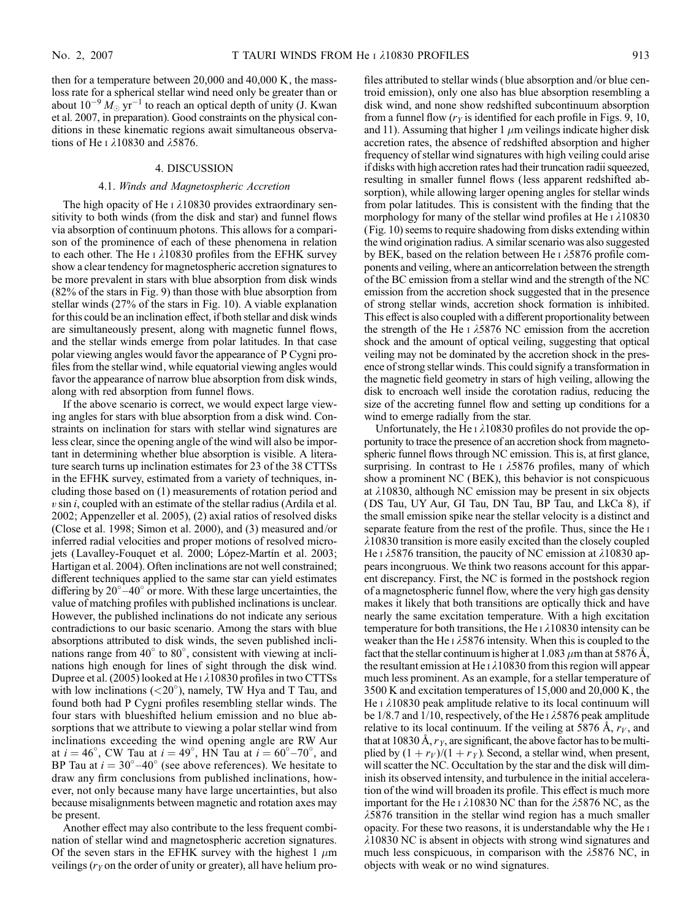then for a temperature between 20,000 and 40,000 K, the massloss rate for a spherical stellar wind need only be greater than or about  $10^{-9} M_{\odot}$  yr<sup>-1</sup> to reach an optical depth of unity (J. Kwan et al. 2007, in preparation). Good constraints on the physical conditions in these kinematic regions await simultaneous observations of He I  $\lambda$ 10830 and  $\lambda$ 5876.

#### 4. DISCUSSION

#### 4.1. Winds and Magnetospheric Accretion

The high opacity of He  $\iota$   $\lambda$ 10830 provides extraordinary sensitivity to both winds (from the disk and star) and funnel flows via absorption of continuum photons. This allows for a comparison of the prominence of each of these phenomena in relation to each other. The He  $\iota$   $\lambda$ 10830 profiles from the EFHK survey show a clear tendency for magnetospheric accretion signatures to be more prevalent in stars with blue absorption from disk winds (82% of the stars in Fig. 9) than those with blue absorption from stellar winds (27% of the stars in Fig. 10). A viable explanation for this could be an inclination effect, if both stellar and disk winds are simultaneously present, along with magnetic funnel flows, and the stellar winds emerge from polar latitudes. In that case polar viewing angles would favor the appearance of P Cygni profiles from the stellar wind, while equatorial viewing angles would favor the appearance of narrow blue absorption from disk winds, along with red absorption from funnel flows.

If the above scenario is correct, we would expect large viewing angles for stars with blue absorption from a disk wind. Constraints on inclination for stars with stellar wind signatures are less clear, since the opening angle of the wind will also be important in determining whether blue absorption is visible. A literature search turns up inclination estimates for 23 of the 38 CTTSs in the EFHK survey, estimated from a variety of techniques, including those based on (1) measurements of rotation period and  $v \sin i$ , coupled with an estimate of the stellar radius (Ardila et al. 2002; Appenzeller et al. 2005), (2) axial ratios of resolved disks (Close et al. 1998; Simon et al. 2000), and (3) measured and/or inferred radial velocities and proper motions of resolved microjets (Lavalley-Fouquet et al. 2000; López-Martín et al. 2003; Hartigan et al. 2004). Often inclinations are not well constrained; different techniques applied to the same star can yield estimates differing by  $20^{\circ} - 40^{\circ}$  or more. With these large uncertainties, the value of matching profiles with published inclinations is unclear. However, the published inclinations do not indicate any serious contradictions to our basic scenario. Among the stars with blue absorptions attributed to disk winds, the seven published inclinations range from 40 $^{\circ}$  to 80 $^{\circ}$ , consistent with viewing at inclinations high enough for lines of sight through the disk wind. Dupree et al. (2005) looked at He  $\lambda$ 10830 profiles in two CTTSs with low inclinations (<20°), namely, TW Hya and T Tau, and found both had P Cygni profiles resembling stellar winds. The four stars with blueshifted helium emission and no blue absorptions that we attribute to viewing a polar stellar wind from inclinations exceeding the wind opening angle are RW Aur at  $i = 46^{\circ}$ , CW Tau at  $i = 49^{\circ}$ , HN Tau at  $i = 60^{\circ} - 70^{\circ}$ , and BP Tau at  $i = 30^{\circ} - 40^{\circ}$  (see above references). We hesitate to draw any firm conclusions from published inclinations, however, not only because many have large uncertainties, but also because misalignments between magnetic and rotation axes may be present.

Another effect may also contribute to the less frequent combination of stellar wind and magnetospheric accretion signatures. Of the seven stars in the EFHK survey with the highest 1  $\mu$ m veilings ( $r<sub>y</sub>$  on the order of unity or greater), all have helium pro-

files attributed to stellar winds (blue absorption and/or blue centroid emission), only one also has blue absorption resembling a disk wind, and none show redshifted subcontinuum absorption from a funnel flow  $(r<sub>Y</sub>$  is identified for each profile in Figs. 9, 10, and 11). Assuming that higher 1  $\mu$ m veilings indicate higher disk accretion rates, the absence of redshifted absorption and higher frequency of stellar wind signatures with high veiling could arise if disks with high accretion rates had their truncation radii squeezed, resulting in smaller funnel flows (less apparent redshifted absorption), while allowing larger opening angles for stellar winds from polar latitudes. This is consistent with the finding that the morphology for many of the stellar wind profiles at He  $\iota$   $\lambda$ 10830 (Fig. 10) seems to require shadowing from disks extending within the wind origination radius. A similar scenario was also suggested by BEK, based on the relation between He  $\frac{1}{5876}$  profile components and veiling, where an anticorrelation between the strength of the BC emission from a stellar wind and the strength of the NC emission from the accretion shock suggested that in the presence of strong stellar winds, accretion shock formation is inhibited. This effect is also coupled with a different proportionality between the strength of the He  $\overline{1}$   $\lambda$ 5876 NC emission from the accretion shock and the amount of optical veiling, suggesting that optical veiling may not be dominated by the accretion shock in the presence of strong stellar winds. This could signify a transformation in the magnetic field geometry in stars of high veiling, allowing the disk to encroach well inside the corotation radius, reducing the size of the accreting funnel flow and setting up conditions for a wind to emerge radially from the star.

Unfortunately, the He  $\scriptstyle\rm I$   $\lambda10830$  profiles do not provide the opportunity to trace the presence of an accretion shock from magnetospheric funnel flows through NC emission. This is, at first glance, surprising. In contrast to He  $\scriptstyle\rm I$   $\lambda$ 5876 profiles, many of which show a prominent NC (BEK), this behavior is not conspicuous at  $\lambda$ 10830, although NC emission may be present in six objects (DS Tau, UY Aur, GI Tau, DN Tau, BP Tau, and LkCa 8), if the small emission spike near the stellar velocity is a distinct and separate feature from the rest of the profile. Thus, since the He i  $\lambda$ 10830 transition is more easily excited than the closely coupled He I  $\lambda$ 5876 transition, the paucity of NC emission at  $\lambda$ 10830 appears incongruous. We think two reasons account for this apparent discrepancy. First, the NC is formed in the postshock region of a magnetospheric funnel flow, where the very high gas density makes it likely that both transitions are optically thick and have nearly the same excitation temperature. With a high excitation temperature for both transitions, the He  $\iota$   $\lambda$ 10830 intensity can be weaker than the He  $\frac{1}{5876}$  intensity. When this is coupled to the fact that the stellar continuum is higher at 1.083  $\mu$ m than at 5876 Å, the resultant emission at He  $\iota$   $\lambda$ 10830 from this region will appear much less prominent. As an example, for a stellar temperature of 3500 K and excitation temperatures of 15,000 and 20,000 K, the He  $\iota$   $\lambda$ 10830 peak amplitude relative to its local continuum will be 1/8.7 and 1/10, respectively, of the He  $\lambda$  5876 peak amplitude relative to its local continuum. If the veiling at 5876 Å,  $r_V$ , and that at 10830 Å,  $r<sub>Y</sub>$ , are significant, the above factor has to be multiplied by  $(1 + r_V)/(1 + r_Y)$ . Second, a stellar wind, when present, will scatter the NC. Occultation by the star and the disk will diminish its observed intensity, and turbulence in the initial acceleration of the wind will broaden its profile. This effect is much more important for the He I  $\lambda$ 10830 NC than for the  $\lambda$ 5876 NC, as the  $\lambda$ 5876 transition in the stellar wind region has a much smaller opacity. For these two reasons, it is understandable why the He i  $\lambda$ 10830 NC is absent in objects with strong wind signatures and much less conspicuous, in comparison with the  $\lambda$ 5876 NC, in objects with weak or no wind signatures.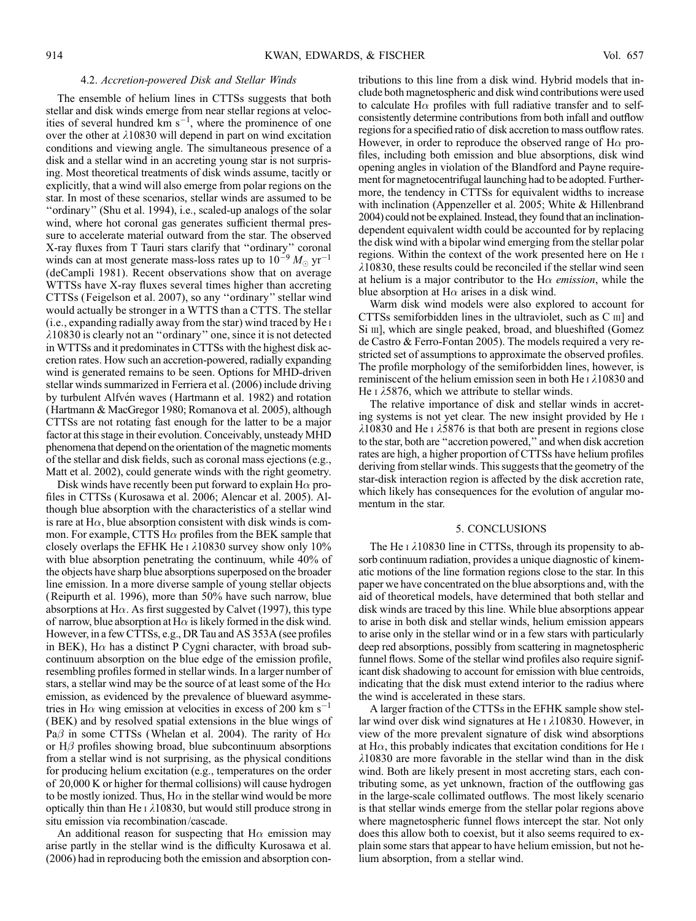#### 4.2. Accretion-powered Disk and Stellar Winds

The ensemble of helium lines in CTTSs suggests that both stellar and disk winds emerge from near stellar regions at velocities of several hundred  $km s^{-1}$ , where the prominence of one over the other at  $\lambda$ 10830 will depend in part on wind excitation conditions and viewing angle. The simultaneous presence of a disk and a stellar wind in an accreting young star is not surprising. Most theoretical treatments of disk winds assume, tacitly or explicitly, that a wind will also emerge from polar regions on the star. In most of these scenarios, stellar winds are assumed to be ''ordinary'' (Shu et al. 1994), i.e., scaled-up analogs of the solar wind, where hot coronal gas generates sufficient thermal pressure to accelerate material outward from the star. The observed X-ray fluxes from T Tauri stars clarify that ''ordinary'' coronal winds can at most generate mass-loss rates up to  $10^{-9} M_{\odot} \text{ yr}^{-1}$ (deCampli 1981). Recent observations show that on average WTTSs have X-ray fluxes several times higher than accreting CTTSs ( Feigelson et al. 2007), so any ''ordinary'' stellar wind would actually be stronger in a WTTS than a CTTS. The stellar (i.e., expanding radially away from the star) wind traced by He i  $\lambda$ 10830 is clearly not an "ordinary" one, since it is not detected in WTTSs and it predominates in CTTSs with the highest disk accretion rates. How such an accretion-powered, radially expanding wind is generated remains to be seen. Options for MHD-driven stellar winds summarized in Ferriera et al. (2006) include driving by turbulent Alfvén waves (Hartmann et al. 1982) and rotation (Hartmann & MacGregor 1980; Romanova et al. 2005), although CTTSs are not rotating fast enough for the latter to be a major factor at this stage in their evolution. Conceivably, unsteady MHD phenomena that depend on the orientation of the magnetic moments of the stellar and disk fields, such as coronal mass ejections (e.g., Matt et al. 2002), could generate winds with the right geometry.

Disk winds have recently been put forward to explain  $H\alpha$  profiles in CTTSs (Kurosawa et al. 2006; Alencar et al. 2005). Although blue absorption with the characteristics of a stellar wind is rare at H $\alpha$ , blue absorption consistent with disk winds is common. For example, CTTS  $H\alpha$  profiles from the BEK sample that closely overlaps the EFHK He  $\iota$   $\lambda$ 10830 survey show only 10% with blue absorption penetrating the continuum, while 40% of the objects have sharp blue absorptions superposed on the broader line emission. In a more diverse sample of young stellar objects (Reipurth et al. 1996), more than 50% have such narrow, blue absorptions at H $\alpha$ . As first suggested by Calvet (1997), this type of narrow, blue absorption at H $\alpha$  is likely formed in the disk wind. However, in a few CTTSs, e.g., DRTau and AS 353A (see profiles in BEK), H $\alpha$  has a distinct P Cygni character, with broad subcontinuum absorption on the blue edge of the emission profile, resembling profiles formed in stellar winds. In a larger number of stars, a stellar wind may be the source of at least some of the H $\alpha$ emission, as evidenced by the prevalence of blueward asymmetries in H $\alpha$  wing emission at velocities in excess of 200 km s<sup>-1</sup> (BEK) and by resolved spatial extensions in the blue wings of Pa $\beta$  in some CTTSs (Whelan et al. 2004). The rarity of H $\alpha$ or  $H\beta$  profiles showing broad, blue subcontinuum absorptions from a stellar wind is not surprising, as the physical conditions for producing helium excitation (e.g., temperatures on the order of 20,000 K or higher for thermal collisions) will cause hydrogen to be mostly ionized. Thus,  $H\alpha$  in the stellar wind would be more optically thin than He  $\iota$   $\lambda$ 10830, but would still produce strong in situ emission via recombination/cascade.

An additional reason for suspecting that  $H\alpha$  emission may arise partly in the stellar wind is the difficulty Kurosawa et al. (2006) had in reproducing both the emission and absorption contributions to this line from a disk wind. Hybrid models that include both magnetospheric and disk wind contributions were used to calculate H $\alpha$  profiles with full radiative transfer and to selfconsistently determine contributions from both infall and outflow regions for a specified ratio of disk accretion to mass outflow rates. However, in order to reproduce the observed range of  $H\alpha$  profiles, including both emission and blue absorptions, disk wind opening angles in violation of the Blandford and Payne requirement for magnetocentrifugal launching had to be adopted. Furthermore, the tendency in CTTSs for equivalent widths to increase with inclination (Appenzeller et al. 2005; White & Hillenbrand 2004) could not be explained. Instead, they found that an inclinationdependent equivalent width could be accounted for by replacing the disk wind with a bipolar wind emerging from the stellar polar regions. Within the context of the work presented here on He i  $\lambda$ 10830, these results could be reconciled if the stellar wind seen at helium is a major contributor to the H $\alpha$  emission, while the blue absorption at H $\alpha$  arises in a disk wind.

Warm disk wind models were also explored to account for CTTSs semiforbidden lines in the ultraviolet, such as C iii] and Si III], which are single peaked, broad, and blueshifted (Gomez de Castro & Ferro-Fontan 2005). The models required a very restricted set of assumptions to approximate the observed profiles. The profile morphology of the semiforbidden lines, however, is reminiscent of the helium emission seen in both He  $\iota$   $\lambda$ 10830 and He  $\alpha$   $\lambda$ 5876, which we attribute to stellar winds.

The relative importance of disk and stellar winds in accreting systems is not yet clear. The new insight provided by He i  $\lambda$ 10830 and He I  $\lambda$ 5876 is that both are present in regions close to the star, both are ''accretion powered,'' and when disk accretion rates are high, a higher proportion of CTTSs have helium profiles deriving from stellar winds. This suggests that the geometry of the star-disk interaction region is affected by the disk accretion rate, which likely has consequences for the evolution of angular momentum in the star.

#### 5. CONCLUSIONS

The He  $\iota$   $\lambda$ 10830 line in CTTSs, through its propensity to absorb continuum radiation, provides a unique diagnostic of kinematic motions of the line formation regions close to the star. In this paper we have concentrated on the blue absorptions and, with the aid of theoretical models, have determined that both stellar and disk winds are traced by this line. While blue absorptions appear to arise in both disk and stellar winds, helium emission appears to arise only in the stellar wind or in a few stars with particularly deep red absorptions, possibly from scattering in magnetospheric funnel flows. Some of the stellar wind profiles also require significant disk shadowing to account for emission with blue centroids, indicating that the disk must extend interior to the radius where the wind is accelerated in these stars.

A larger fraction of the CTTSs in the EFHK sample show stellar wind over disk wind signatures at He  $\iota$   $\lambda$ 10830. However, in view of the more prevalent signature of disk wind absorptions at H $\alpha$ , this probably indicates that excitation conditions for He i  $\lambda$ 10830 are more favorable in the stellar wind than in the disk wind. Both are likely present in most accreting stars, each contributing some, as yet unknown, fraction of the outflowing gas in the large-scale collimated outflows. The most likely scenario is that stellar winds emerge from the stellar polar regions above where magnetospheric funnel flows intercept the star. Not only does this allow both to coexist, but it also seems required to explain some stars that appear to have helium emission, but not helium absorption, from a stellar wind.